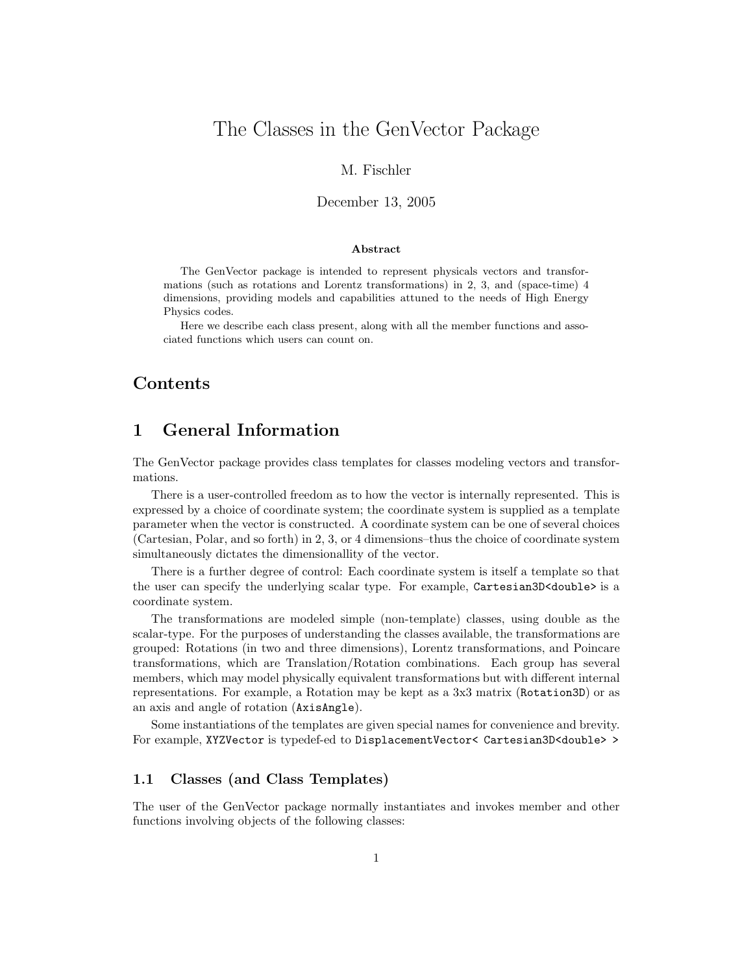# The Classes in the GenVector Package

### M. Fischler

### December 13, 2005

#### Abstract

The GenVector package is intended to represent physicals vectors and transformations (such as rotations and Lorentz transformations) in 2, 3, and (space-time) 4 dimensions, providing models and capabilities attuned to the needs of High Energy Physics codes.

Here we describe each class present, along with all the member functions and associated functions which users can count on.

## Contents

## 1 General Information

The GenVector package provides class templates for classes modeling vectors and transformations.

There is a user-controlled freedom as to how the vector is internally represented. This is expressed by a choice of coordinate system; the coordinate system is supplied as a template parameter when the vector is constructed. A coordinate system can be one of several choices (Cartesian, Polar, and so forth) in 2, 3, or 4 dimensions–thus the choice of coordinate system simultaneously dictates the dimensionallity of the vector.

There is a further degree of control: Each coordinate system is itself a template so that the user can specify the underlying scalar type. For example, Cartesian3D<double> is a coordinate system.

The transformations are modeled simple (non-template) classes, using double as the scalar-type. For the purposes of understanding the classes available, the transformations are grouped: Rotations (in two and three dimensions), Lorentz transformations, and Poincare transformations, which are Translation/Rotation combinations. Each group has several members, which may model physically equivalent transformations but with different internal representations. For example, a Rotation may be kept as a 3x3 matrix (Rotation3D) or as an axis and angle of rotation (AxisAngle).

Some instantiations of the templates are given special names for convenience and brevity. For example, XYZVector is typedef-ed to DisplacementVector< Cartesian3D<double> >

### 1.1 Classes (and Class Templates)

The user of the GenVector package normally instantiates and invokes member and other functions involving objects of the following classes: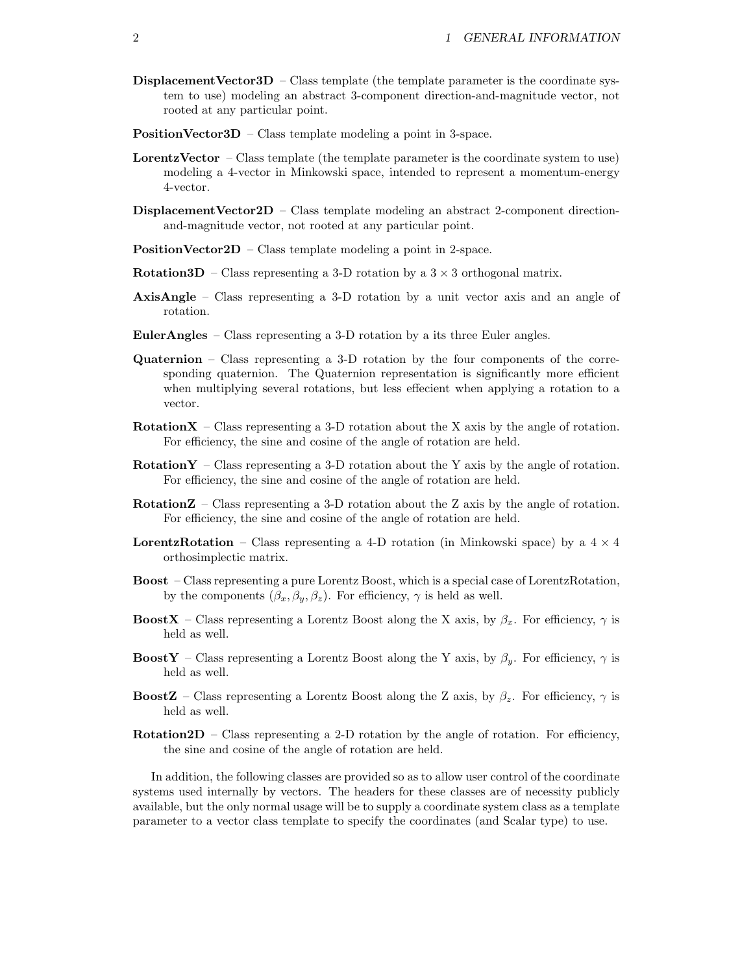- **Displacement Vector3D** Class template (the template parameter is the coordinate system to use) modeling an abstract 3-component direction-and-magnitude vector, not rooted at any particular point.
- PositionVector3D Class template modeling a point in 3-space.
- **LorentzVector** Class template (the template parameter is the coordinate system to use) modeling a 4-vector in Minkowski space, intended to represent a momentum-energy 4-vector.
- DisplacementVector2D Class template modeling an abstract 2-component directionand-magnitude vector, not rooted at any particular point.
- PositionVector2D Class template modeling a point in 2-space.
- **Rotation3D** Class representing a 3-D rotation by a  $3 \times 3$  orthogonal matrix.
- AxisAngle Class representing a 3-D rotation by a unit vector axis and an angle of rotation.
- EulerAngles Class representing a 3-D rotation by a its three Euler angles.
- Quaternion Class representing a 3-D rotation by the four components of the corresponding quaternion. The Quaternion representation is significantly more efficient when multiplying several rotations, but less effecient when applying a rotation to a vector.
- **RotationX** Class representing a 3-D rotation about the X axis by the angle of rotation. For efficiency, the sine and cosine of the angle of rotation are held.
- $RotationY Class representing a 3-D rotation about the Y axis by the angle of rotation.$ For efficiency, the sine and cosine of the angle of rotation are held.
- RotationZ Class representing a 3-D rotation about the Z axis by the angle of rotation. For efficiency, the sine and cosine of the angle of rotation are held.
- **LorentzRotation** Class representing a 4-D rotation (in Minkowski space) by a  $4 \times 4$ orthosimplectic matrix.
- Boost Class representing a pure Lorentz Boost, which is a special case of LorentzRotation, by the components  $(\beta_x, \beta_y, \beta_z)$ . For efficiency,  $\gamma$  is held as well.
- **BoostX** Class representing a Lorentz Boost along the X axis, by  $\beta_x$ . For efficiency,  $\gamma$  is held as well.
- **BoostY** Class representing a Lorentz Boost along the Y axis, by  $\beta_y$ . For efficiency,  $\gamma$  is held as well.
- **BoostZ** Class representing a Lorentz Boost along the Z axis, by  $\beta_z$ . For efficiency,  $\gamma$  is held as well.
- $Rotation2D Class representing a 2-D rotation by the angle of rotation. For efficiency,$ the sine and cosine of the angle of rotation are held.

In addition, the following classes are provided so as to allow user control of the coordinate systems used internally by vectors. The headers for these classes are of necessity publicly available, but the only normal usage will be to supply a coordinate system class as a template parameter to a vector class template to specify the coordinates (and Scalar type) to use.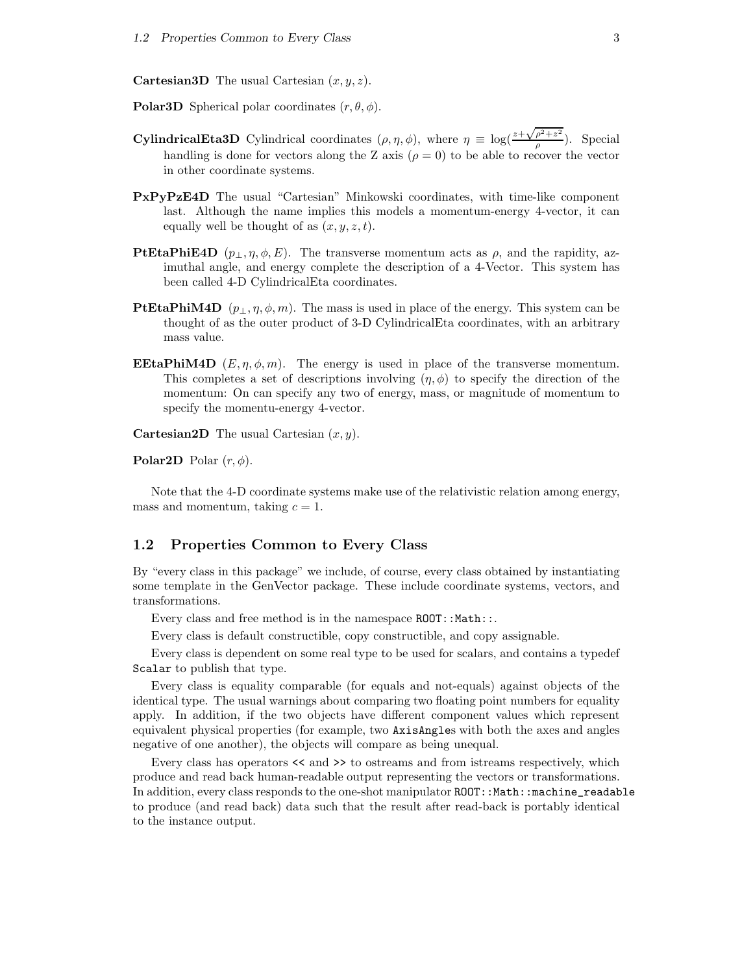**Cartesian3D** The usual Cartesian  $(x, y, z)$ .

**Polar3D** Spherical polar coordinates  $(r, \theta, \phi)$ .

- **CylindricalEta3D** Cylindrical coordinates  $(\rho, \eta, \phi)$ , where  $\eta \equiv \log(\frac{z + \sqrt{\rho^2 + z^2}}{\rho})$  $\frac{\rho + z}{\rho}$ ). Special handling is done for vectors along the Z axis ( $\rho = 0$ ) to be able to recover the vector in other coordinate systems.
- PxPyPzE4D The usual "Cartesian" Minkowski coordinates, with time-like component last. Although the name implies this models a momentum-energy 4-vector, it can equally well be thought of as  $(x, y, z, t)$ .
- **PtEtaPhiE4D**  $(p_{\perp}, \eta, \phi, E)$ . The transverse momentum acts as  $\rho$ , and the rapidity, azimuthal angle, and energy complete the description of a 4-Vector. This system has been called 4-D CylindricalEta coordinates.
- **PtEtaPhiM4D**  $(p_1, \eta, \phi, m)$ . The mass is used in place of the energy. This system can be thought of as the outer product of 3-D CylindricalEta coordinates, with an arbitrary mass value.
- **EEtaPhiM4D**  $(E, \eta, \phi, m)$ . The energy is used in place of the transverse momentum. This completes a set of descriptions involving  $(\eta, \phi)$  to specify the direction of the momentum: On can specify any two of energy, mass, or magnitude of momentum to specify the momentu-energy 4-vector.

**Cartesian2D** The usual Cartesian  $(x, y)$ .

**Polar2D** Polar  $(r, \phi)$ .

Note that the 4-D coordinate systems make use of the relativistic relation among energy, mass and momentum, taking  $c = 1$ .

### 1.2 Properties Common to Every Class

By "every class in this package" we include, of course, every class obtained by instantiating some template in the GenVector package. These include coordinate systems, vectors, and transformations.

Every class and free method is in the namespace  $ROOT::Math::$ .

Every class is default constructible, copy constructible, and copy assignable.

Every class is dependent on some real type to be used for scalars, and contains a typedef Scalar to publish that type.

Every class is equality comparable (for equals and not-equals) against objects of the identical type. The usual warnings about comparing two floating point numbers for equality apply. In addition, if the two objects have different component values which represent equivalent physical properties (for example, two AxisAngles with both the axes and angles negative of one another), the objects will compare as being unequal.

Every class has operators  $\lt\lt$  and  $\gt\gt$  to ostreams and from istreams respectively, which produce and read back human-readable output representing the vectors or transformations. In addition, every class responds to the one-shot manipulator ROOT:: Math:: machine\_readable to produce (and read back) data such that the result after read-back is portably identical to the instance output.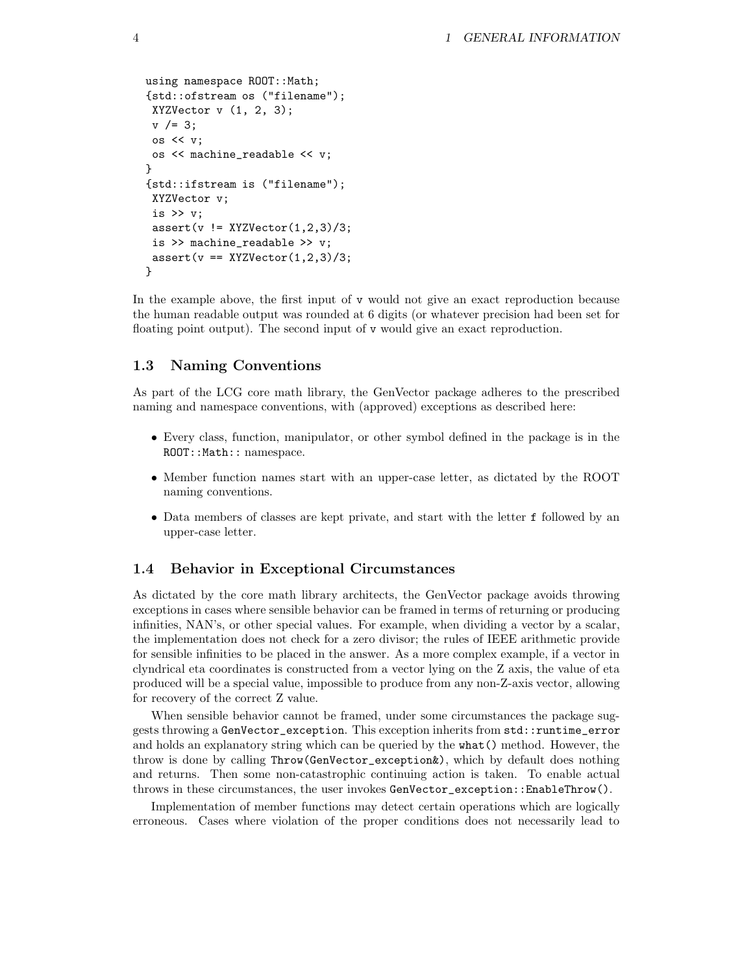```
using namespace ROOT:: Math;
{std::ofstream os ("filename");
XYZVector v(1, 2, 3);
v /= 3;
os << v;
 os << machine_readable << v;
}
{std::ifstream is ("filename");
XYZVector v;
 is >> v;
 assert(v := XYZVector(1,2,3)/3;is >> machine_readable >> v;
 assert(v == XYZVector(1,2,3)/3;}
```
In the example above, the first input of  $\nu$  would not give an exact reproduction because the human readable output was rounded at 6 digits (or whatever precision had been set for floating point output). The second input of v would give an exact reproduction.

### 1.3 Naming Conventions

As part of the LCG core math library, the GenVector package adheres to the prescribed naming and namespace conventions, with (approved) exceptions as described here:

- Every class, function, manipulator, or other symbol defined in the package is in the ROOT:: Math:: namespace.
- Member function names start with an upper-case letter, as dictated by the ROOT naming conventions.
- Data members of classes are kept private, and start with the letter f followed by an upper-case letter.

### 1.4 Behavior in Exceptional Circumstances

As dictated by the core math library architects, the GenVector package avoids throwing exceptions in cases where sensible behavior can be framed in terms of returning or producing infinities, NAN's, or other special values. For example, when dividing a vector by a scalar, the implementation does not check for a zero divisor; the rules of IEEE arithmetic provide for sensible infinities to be placed in the answer. As a more complex example, if a vector in clyndrical eta coordinates is constructed from a vector lying on the Z axis, the value of eta produced will be a special value, impossible to produce from any non-Z-axis vector, allowing for recovery of the correct Z value.

When sensible behavior cannot be framed, under some circumstances the package suggests throwing a GenVector\_exception. This exception inherits from std::runtime\_error and holds an explanatory string which can be queried by the what() method. However, the throw is done by calling Throw(GenVector\_exception&), which by default does nothing and returns. Then some non-catastrophic continuing action is taken. To enable actual throws in these circumstances, the user invokes GenVector\_exception::EnableThrow().

Implementation of member functions may detect certain operations which are logically erroneous. Cases where violation of the proper conditions does not necessarily lead to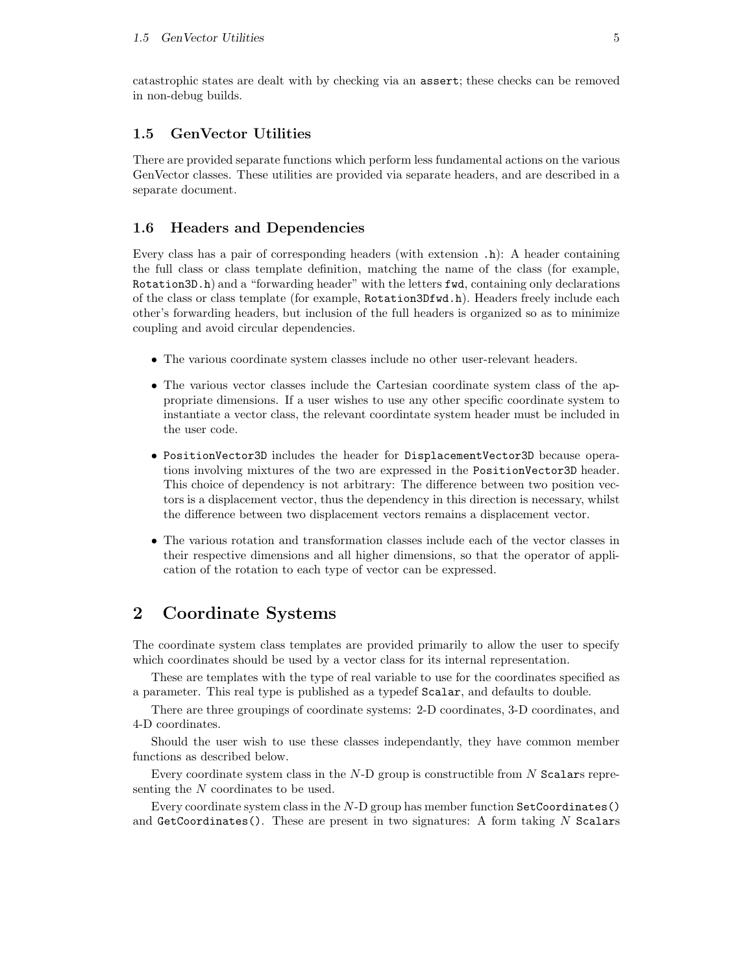### 1.5 GenVector Utilities

There are provided separate functions which perform less fundamental actions on the various GenVector classes. These utilities are provided via separate headers, and are described in a separate document.

### 1.6 Headers and Dependencies

Every class has a pair of corresponding headers (with extension .h): A header containing the full class or class template definition, matching the name of the class (for example, Rotation3D.h) and a "forwarding header" with the letters fwd, containing only declarations of the class or class template (for example, Rotation3Dfwd.h). Headers freely include each other's forwarding headers, but inclusion of the full headers is organized so as to minimize coupling and avoid circular dependencies.

- The various coordinate system classes include no other user-relevant headers.
- The various vector classes include the Cartesian coordinate system class of the appropriate dimensions. If a user wishes to use any other specific coordinate system to instantiate a vector class, the relevant coordintate system header must be included in the user code.
- PositionVector3D includes the header for DisplacementVector3D because operations involving mixtures of the two are expressed in the PositionVector3D header. This choice of dependency is not arbitrary: The difference between two position vectors is a displacement vector, thus the dependency in this direction is necessary, whilst the difference between two displacement vectors remains a displacement vector.
- The various rotation and transformation classes include each of the vector classes in their respective dimensions and all higher dimensions, so that the operator of application of the rotation to each type of vector can be expressed.

## 2 Coordinate Systems

The coordinate system class templates are provided primarily to allow the user to specify which coordinates should be used by a vector class for its internal representation.

These are templates with the type of real variable to use for the coordinates specified as a parameter. This real type is published as a typedef Scalar, and defaults to double.

There are three groupings of coordinate systems: 2-D coordinates, 3-D coordinates, and 4-D coordinates.

Should the user wish to use these classes independantly, they have common member functions as described below.

Every coordinate system class in the  $N-D$  group is constructible from N Scalars representing the N coordinates to be used.

Every coordinate system class in the  $N-D$  group has member function  $\text{SetCoordinate}()$ and GetCoordinates(). These are present in two signatures: A form taking  $N$  Scalars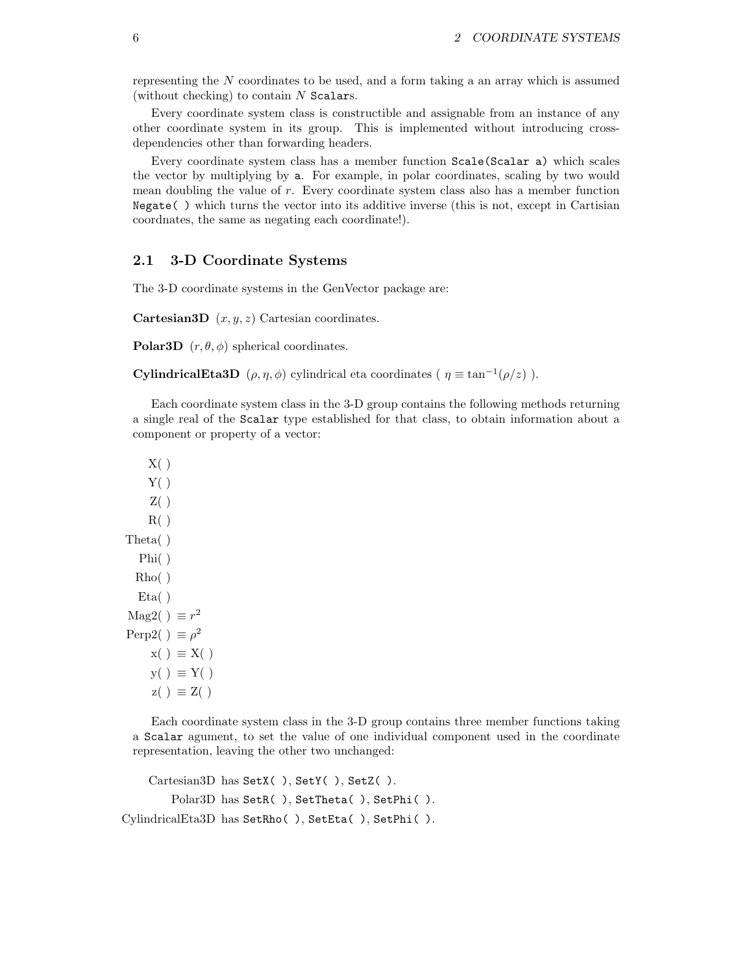representing the N coordinates to be used, and a form taking a an array which is assumed (without checking) to contain  $N$  Scalars.

Every coordinate system class is constructible and assignable from an instance of any other coordinate system in its group. This is implemented without introducing crossdependencies other than forwarding headers.

Every coordinate system class has a member function Scale(Scalar a) which scales the vector by multiplying by a. For example, in polar coordinates, scaling by two would mean doubling the value of  $r$ . Every coordinate system class also has a member function Negate( ) which turns the vector into its additive inverse (this is not, except in Cartisian coordnates, the same as negating each coordinate!).

### 2.1 3-D Coordinate Systems

The 3-D coordinate systems in the GenVector package are:

**Cartesian3D**  $(x, y, z)$  Cartesian coordinates.

**Polar3D**  $(r, \theta, \phi)$  spherical coordinates.

**CylindricalEta3D**  $(\rho, \eta, \phi)$  cylindrical eta coordinates ( $\eta \equiv \tan^{-1}(\rho/z)$ ).

Each coordinate system class in the 3-D group contains the following methods returning a single real of the Scalar type established for that class, to obtain information about a component or property of a vector:

```
X( )Y( )Z( )R( )Theta( )
  Phi( )
  Rho( )
  Eta( )
Mag2( ) \equiv r^2Perp2( ) \equiv \rho^2x( ) \equiv X( )y() \equiv Y()z( ) \equiv Z( )
```
Each coordinate system class in the 3-D group contains three member functions taking a Scalar agument, to set the value of one individual component used in the coordinate representation, leaving the other two unchanged:

```
Cartesian3D has SetX( ), SetY( ), SetZ( ).
        Polar3D has SetR( ), SetTheta( ), SetPhi( ).
CylindricalEta3D has SetRho( ), SetEta( ), SetPhi( ).
```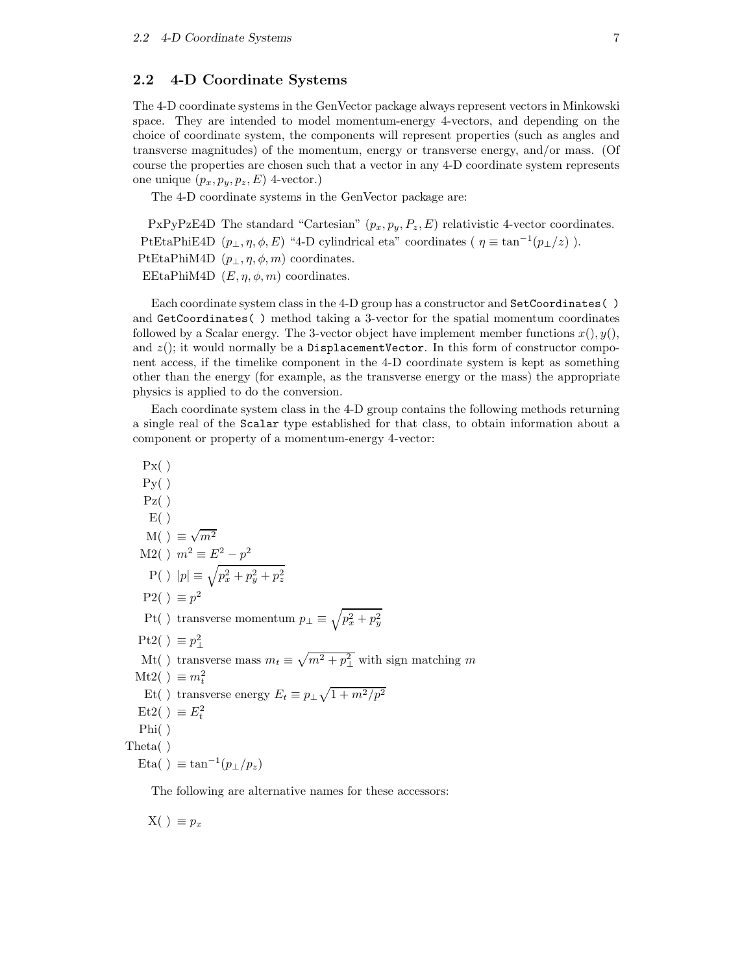### 2.2 4-D Coordinate Systems

The 4-D coordinate systems in the GenVector package always represent vectors in Minkowski space. They are intended to model momentum-energy 4-vectors, and depending on the choice of coordinate system, the components will represent properties (such as angles and transverse magnitudes) of the momentum, energy or transverse energy, and/or mass. (Of course the properties are chosen such that a vector in any 4-D coordinate system represents one unique  $(p_x, p_y, p_z, E)$  4-vector.)

The 4-D coordinate systems in the GenVector package are:

PxPyPzE4D The standard "Cartesian"  $(p_x, p_y, P_z, E)$  relativistic 4-vector coordinates. PtEtaPhiE4D  $(p_{\perp}, \eta, \phi, E)$  "4-D cylindrical eta" coordinates ( $\eta \equiv \tan^{-1}(p_{\perp}/z)$ ). PtEtaPhiM4D  $(p_{\perp}, \eta, \phi, m)$  coordinates. EEtaPhiM4D  $(E, \eta, \phi, m)$  coordinates.

Each coordinate system class in the 4-D group has a constructor and SetCoordinates( ) and GetCoordinates( ) method taking a 3-vector for the spatial momentum coordinates followed by a Scalar energy. The 3-vector object have implement member functions  $x()$ ,  $y()$ , and  $z($ ; it would normally be a DisplacementVector. In this form of constructor component access, if the timelike component in the 4-D coordinate system is kept as something other than the energy (for example, as the transverse energy or the mass) the appropriate physics is applied to do the conversion.

Each coordinate system class in the 4-D group contains the following methods returning a single real of the Scalar type established for that class, to obtain information about a component or property of a momentum-energy 4-vector:

```
Px()P_{V}(\ )Pz()E( )M( ) \equiv\sqrt{m^2}M2() m^2 \equiv E^2 - p^2P(\ )\ |p|\equiv\sqrt{p_{x}^{2}+p_{y}^{2}+p_{z}^{2}}P2() \equiv p^2Pt( ) transverse momentum p_{\perp} \equiv \sqrt{p_x^2 + p_y^2}Pt2( ) \equiv p_{\perp}^2Mt() transverse mass m_t \equiv \sqrt{m^2 + p_\perp^2} with sign matching m
   Mt2( ) \equiv m_t^2Et( ) transverse energy E_t \equiv p_\perp \sqrt{1 + m^2/p^2}Et2( ) \equiv E_t^2Phi( )
Theta( )
   Eta() \equiv \tan^{-1}(p_{\perp}/p_z)
```
The following are alternative names for these accessors:

 $X( ) \equiv p_x$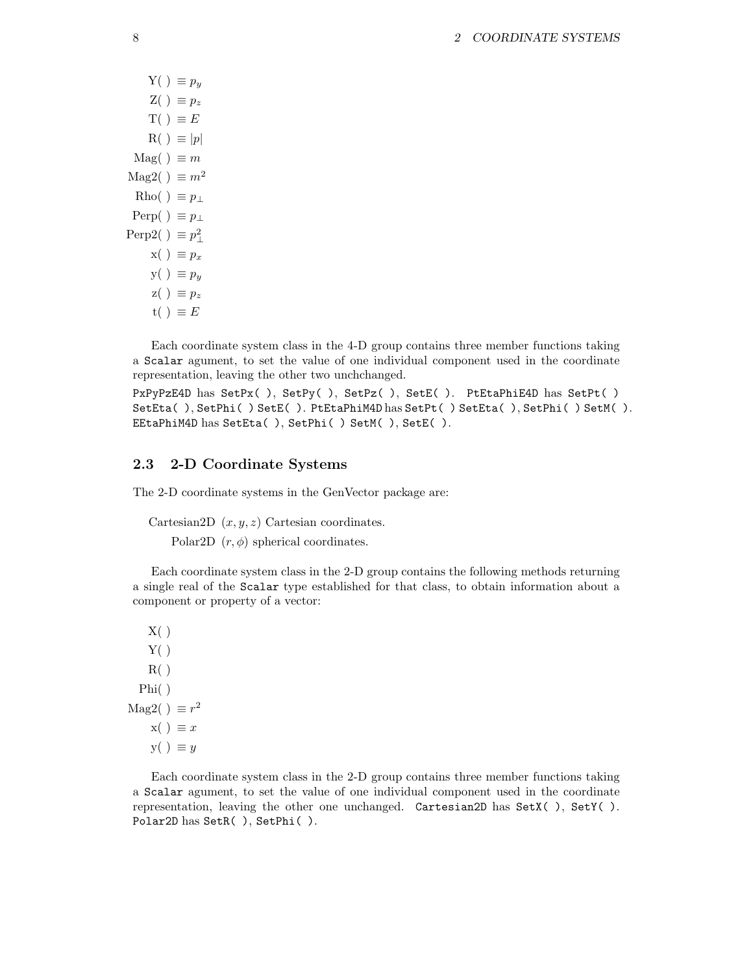$Y( ) \equiv p_y$  $Z( ) \equiv p_z$  $T() \equiv E$  $R() \equiv |p|$  $\text{Mag}( ) \equiv m$ Mag2( )  $\equiv m^2$ Rho( )  $\equiv p_{\perp}$ Perp( )  $\equiv p_{\perp}$ Perp2( )  $\equiv p_{\perp}^2$  $x( ) \equiv p_x$  $y() \equiv p_y$  $z() \equiv p_z$  $t() \equiv E$ 

Each coordinate system class in the 4-D group contains three member functions taking a Scalar agument, to set the value of one individual component used in the coordinate representation, leaving the other two unchchanged.

PxPyPzE4D has SetPx( ), SetPy( ), SetPz( ), SetE( ). PtEtaPhiE4D has SetPt( ) SetEta( ), SetPhi( ) SetE( ). PtEtaPhiM4D has SetPt( ) SetEta( ), SetPhi( ) SetM( ). EEtaPhiM4D has SetEta( ), SetPhi( ) SetM( ), SetE( ).

### 2.3 2-D Coordinate Systems

The 2-D coordinate systems in the GenVector package are:

Cartesian2D  $(x, y, z)$  Cartesian coordinates.

Polar2D  $(r, \phi)$  spherical coordinates.

Each coordinate system class in the 2-D group contains the following methods returning a single real of the Scalar type established for that class, to obtain information about a component or property of a vector:

 $X( )$  $Y( )$  $R( )$ Phi( ) Mag2( )  $\equiv r^2$  $x() \equiv x$  $y() \equiv y$ 

Each coordinate system class in the 2-D group contains three member functions taking a Scalar agument, to set the value of one individual component used in the coordinate representation, leaving the other one unchanged. Cartesian2D has SetX( ), SetY( ). Polar2D has SetR( ), SetPhi( ).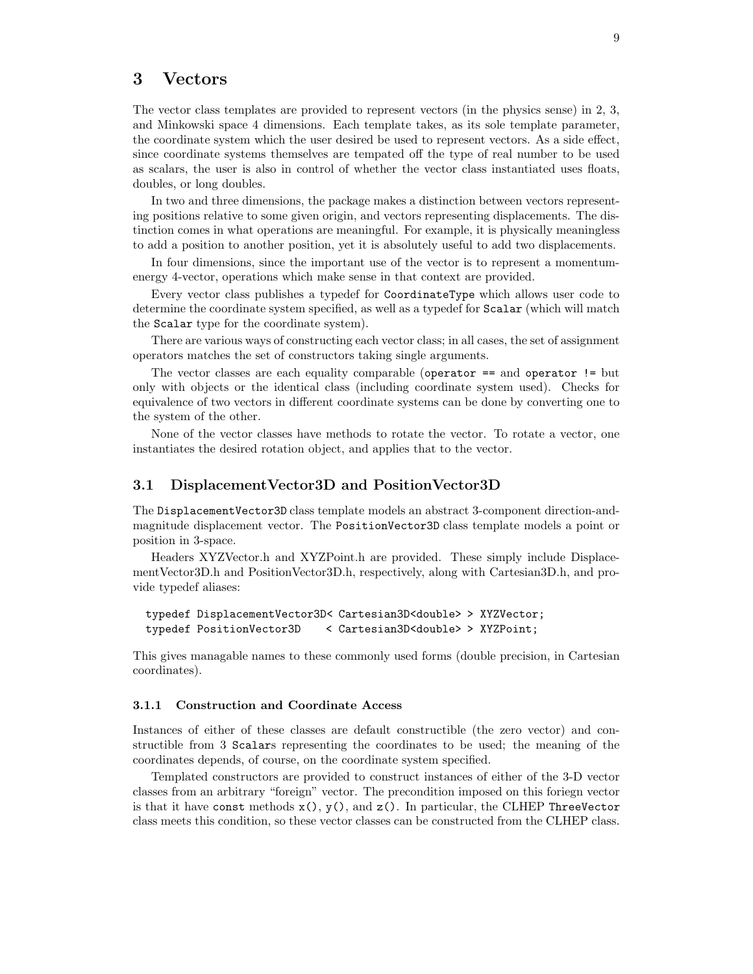## 3 Vectors

The vector class templates are provided to represent vectors (in the physics sense) in 2, 3, and Minkowski space 4 dimensions. Each template takes, as its sole template parameter, the coordinate system which the user desired be used to represent vectors. As a side effect, since coordinate systems themselves are tempated off the type of real number to be used as scalars, the user is also in control of whether the vector class instantiated uses floats, doubles, or long doubles.

In two and three dimensions, the package makes a distinction between vectors representing positions relative to some given origin, and vectors representing displacements. The distinction comes in what operations are meaningful. For example, it is physically meaningless to add a position to another position, yet it is absolutely useful to add two displacements.

In four dimensions, since the important use of the vector is to represent a momentumenergy 4-vector, operations which make sense in that context are provided.

Every vector class publishes a typedef for CoordinateType which allows user code to determine the coordinate system specified, as well as a typedef for Scalar (which will match the Scalar type for the coordinate system).

There are various ways of constructing each vector class; in all cases, the set of assignment operators matches the set of constructors taking single arguments.

The vector classes are each equality comparable (operator == and operator != but only with objects or the identical class (including coordinate system used). Checks for equivalence of two vectors in different coordinate systems can be done by converting one to the system of the other.

None of the vector classes have methods to rotate the vector. To rotate a vector, one instantiates the desired rotation object, and applies that to the vector.

#### 3.1 DisplacementVector3D and PositionVector3D

The DisplacementVector3D class template models an abstract 3-component direction-andmagnitude displacement vector. The PositionVector3D class template models a point or position in 3-space.

Headers XYZVector.h and XYZPoint.h are provided. These simply include DisplacementVector3D.h and PositionVector3D.h, respectively, along with Cartesian3D.h, and provide typedef aliases:

```
typedef DisplacementVector3D< Cartesian3D<double> > XYZVector;
typedef PositionVector3D < Cartesian3D<double> > XYZPoint;
```
This gives managable names to these commonly used forms (double precision, in Cartesian coordinates).

#### 3.1.1 Construction and Coordinate Access

Instances of either of these classes are default constructible (the zero vector) and constructible from 3 Scalars representing the coordinates to be used; the meaning of the coordinates depends, of course, on the coordinate system specified.

Templated constructors are provided to construct instances of either of the 3-D vector classes from an arbitrary "foreign" vector. The precondition imposed on this foriegn vector is that it have const methods  $x()$ ,  $y()$ , and  $z()$ . In particular, the CLHEP ThreeVector class meets this condition, so these vector classes can be constructed from the CLHEP class.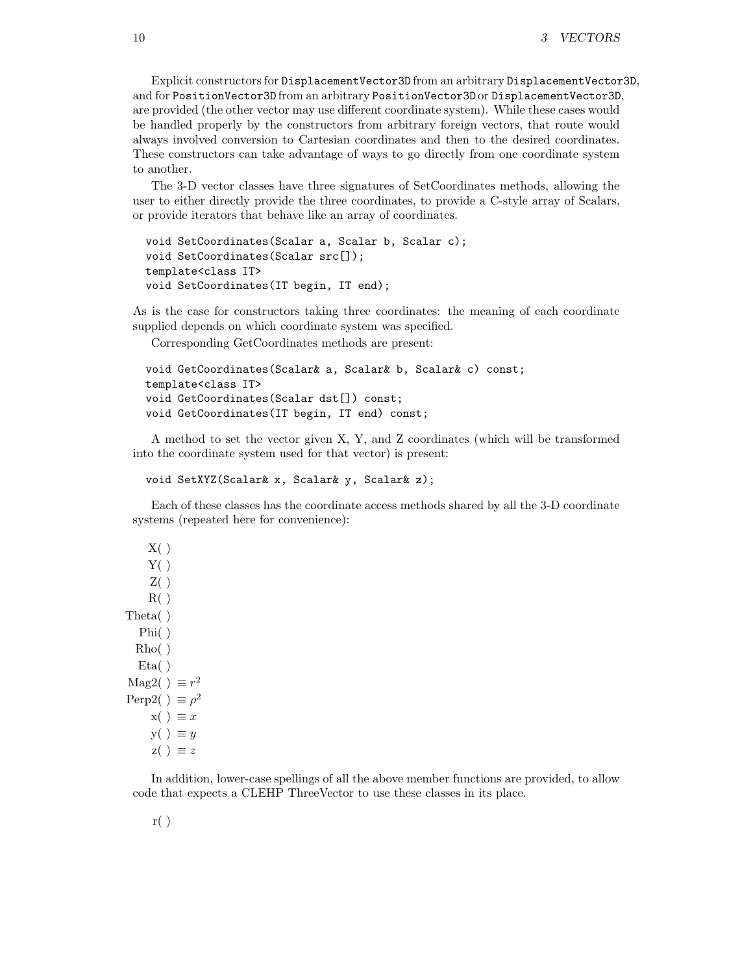Explicit constructors for DisplacementVector3D from an arbitrary DisplacementVector3D, and for PositionVector3D from an arbitrary PositionVector3D or DisplacementVector3D, are provided (the other vector may use different coordinate system). While these cases would be handled properly by the constructors from arbitrary foreign vectors, that route would always involved conversion to Cartesian coordinates and then to the desired coordinates. These constructors can take advantage of ways to go directly from one coordinate system to another.

The 3-D vector classes have three signatures of SetCoordinates methods, allowing the user to either directly provide the three coordinates, to provide a C-style array of Scalars, or provide iterators that behave like an array of coordinates.

```
void SetCoordinates(Scalar a, Scalar b, Scalar c);
void SetCoordinates(Scalar src[]);
template<class IT>
void SetCoordinates(IT begin, IT end);
```
As is the case for constructors taking three coordinates: the meaning of each coordinate supplied depends on which coordinate system was specified.

Corresponding GetCoordinates methods are present:

```
void GetCoordinates(Scalar& a, Scalar& b, Scalar& c) const;
template<class IT>
void GetCoordinates(Scalar dst[]) const;
void GetCoordinates(IT begin, IT end) const;
```
A method to set the vector given X, Y, and Z coordinates (which will be transformed into the coordinate system used for that vector) is present:

```
void SetXYZ(Scalar& x, Scalar& y, Scalar& z);
```
Each of these classes has the coordinate access methods shared by all the 3-D coordinate systems (repeated here for convenience):

```
X( )Y( )Z( )R( )Theta( )
  Phi( )
  Rho( )
  Eta()Mag2( ) \equiv r^2Perp2( ) \equiv \rho^2x() \equiv xy() \equiv yz( ) \equiv z
```
In addition, lower-case spellings of all the above member functions are provided, to allow code that expects a CLEHP ThreeVector to use these classes in its place.

r( )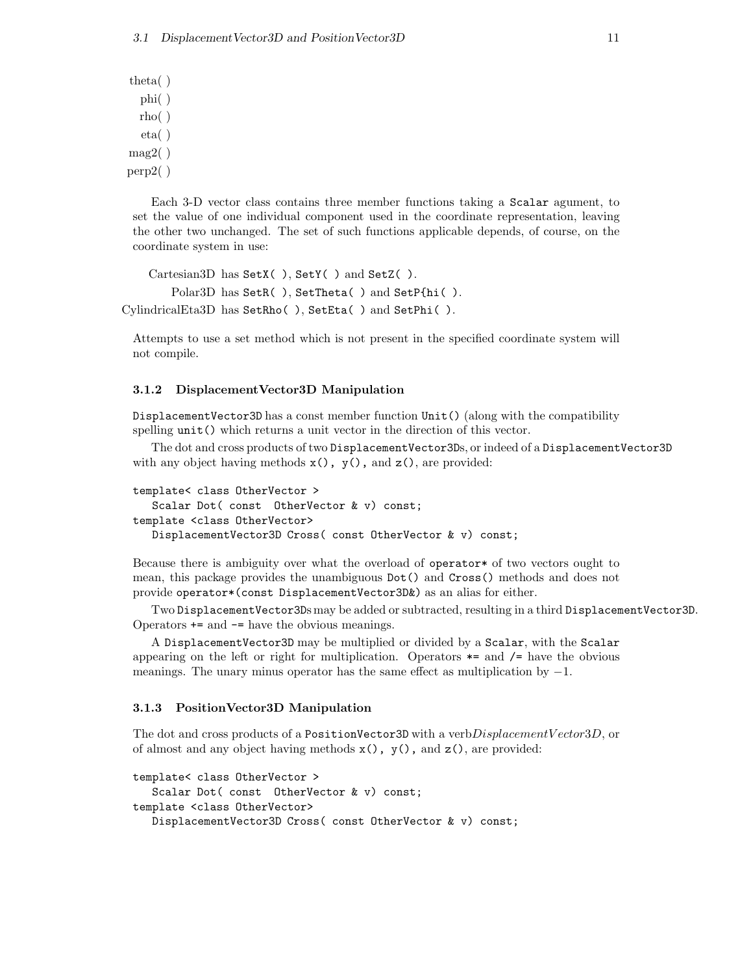theta( ) phi( ) rho( ) eta( )  $mag2()$ perp2( )

Each 3-D vector class contains three member functions taking a Scalar agument, to set the value of one individual component used in the coordinate representation, leaving the other two unchanged. The set of such functions applicable depends, of course, on the coordinate system in use:

```
Cartesian3D has SetX( ), SetY( ) and SetZ( ).
        Polar3D has SetR( ), SetTheta( ) and SetP{hi( ).
CylindricalEta3D has SetRho( ), SetEta( ) and SetPhi( ).
```
Attempts to use a set method which is not present in the specified coordinate system will not compile.

#### 3.1.2 DisplacementVector3D Manipulation

DisplacementVector3D has a const member function Unit() (along with the compatibility spelling unit() which returns a unit vector in the direction of this vector.

The dot and cross products of two DisplacementVector3Ds, or indeed of a DisplacementVector3D with any object having methods  $x()$ ,  $y()$ , and  $z()$ , are provided:

```
template< class OtherVector >
   Scalar Dot( const OtherVector & v) const;
template <class OtherVector>
  DisplacementVector3D Cross( const OtherVector & v) const;
```
Because there is ambiguity over what the overload of operator\* of two vectors ought to mean, this package provides the unambiguous Dot() and Cross() methods and does not provide operator\*(const DisplacementVector3D&) as an alias for either.

Two DisplacementVector3Ds may be added or subtracted, resulting in a third DisplacementVector3D. Operators += and -= have the obvious meanings.

A DisplacementVector3D may be multiplied or divided by a Scalar, with the Scalar appearing on the left or right for multiplication. Operators  $*$ = and  $/$ = have the obvious meanings. The unary minus operator has the same effect as multiplication by  $-1$ .

#### 3.1.3 PositionVector3D Manipulation

The dot and cross products of a PositionVector3D with a verb $DisplacementVector3D$ , or of almost and any object having methods  $x()$ ,  $y()$ , and  $z()$ , are provided:

```
template< class OtherVector >
   Scalar Dot( const OtherVector & v) const;
template <class OtherVector>
  DisplacementVector3D Cross( const OtherVector & v) const;
```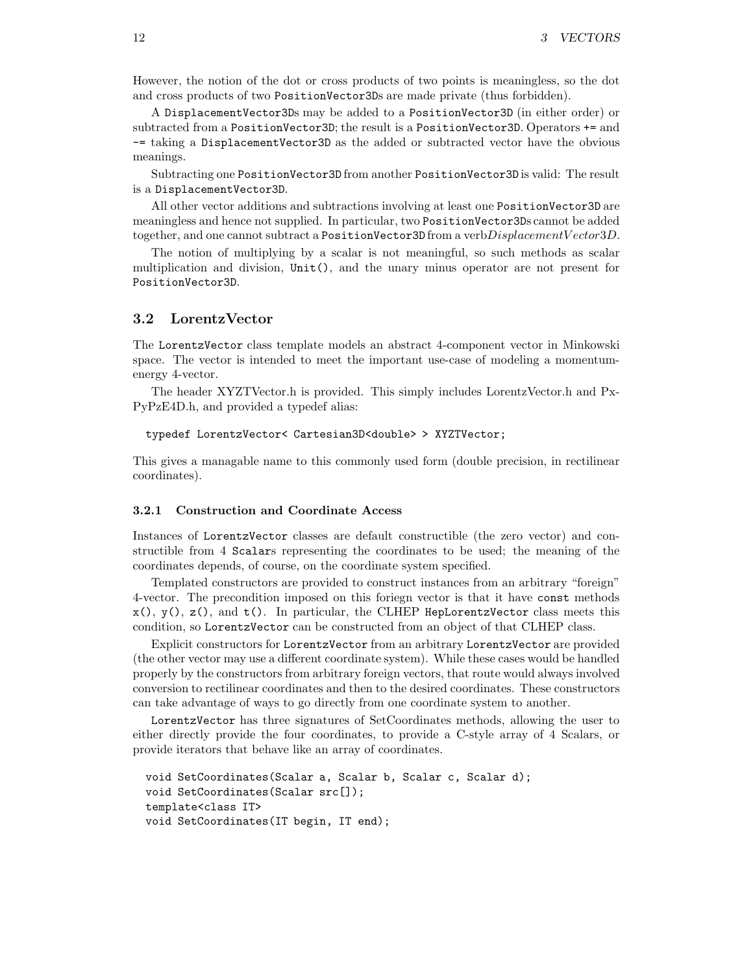However, the notion of the dot or cross products of two points is meaningless, so the dot and cross products of two PositionVector3Ds are made private (thus forbidden).

A DisplacementVector3Ds may be added to a PositionVector3D (in either order) or subtracted from a PositionVector3D; the result is a PositionVector3D. Operators += and -= taking a DisplacementVector3D as the added or subtracted vector have the obvious meanings.

Subtracting one PositionVector3D from another PositionVector3D is valid: The result is a DisplacementVector3D.

All other vector additions and subtractions involving at least one PositionVector3D are meaningless and hence not supplied. In particular, two PositionVector3Ds cannot be added together, and one cannot subtract a PositionVector3D from a verb $DisplacementVector3D$ .

The notion of multiplying by a scalar is not meaningful, so such methods as scalar multiplication and division, Unit(), and the unary minus operator are not present for PositionVector3D.

### 3.2 LorentzVector

The LorentzVector class template models an abstract 4-component vector in Minkowski space. The vector is intended to meet the important use-case of modeling a momentumenergy 4-vector.

The header XYZTVector.h is provided. This simply includes LorentzVector.h and Px-PyPzE4D.h, and provided a typedef alias:

```
typedef LorentzVector< Cartesian3D<double> > XYZTVector;
```
This gives a managable name to this commonly used form (double precision, in rectilinear coordinates).

#### 3.2.1 Construction and Coordinate Access

Instances of LorentzVector classes are default constructible (the zero vector) and constructible from 4 Scalars representing the coordinates to be used; the meaning of the coordinates depends, of course, on the coordinate system specified.

Templated constructors are provided to construct instances from an arbitrary "foreign" 4-vector. The precondition imposed on this foriegn vector is that it have const methods  $x()$ ,  $y()$ ,  $z()$ , and  $t()$ . In particular, the CLHEP HepLorentzVector class meets this condition, so LorentzVector can be constructed from an object of that CLHEP class.

Explicit constructors for LorentzVector from an arbitrary LorentzVector are provided (the other vector may use a different coordinate system). While these cases would be handled properly by the constructors from arbitrary foreign vectors, that route would always involved conversion to rectilinear coordinates and then to the desired coordinates. These constructors can take advantage of ways to go directly from one coordinate system to another.

LorentzVector has three signatures of SetCoordinates methods, allowing the user to either directly provide the four coordinates, to provide a C-style array of 4 Scalars, or provide iterators that behave like an array of coordinates.

```
void SetCoordinates(Scalar a, Scalar b, Scalar c, Scalar d);
void SetCoordinates(Scalar src[]);
template<class IT>
void SetCoordinates(IT begin, IT end);
```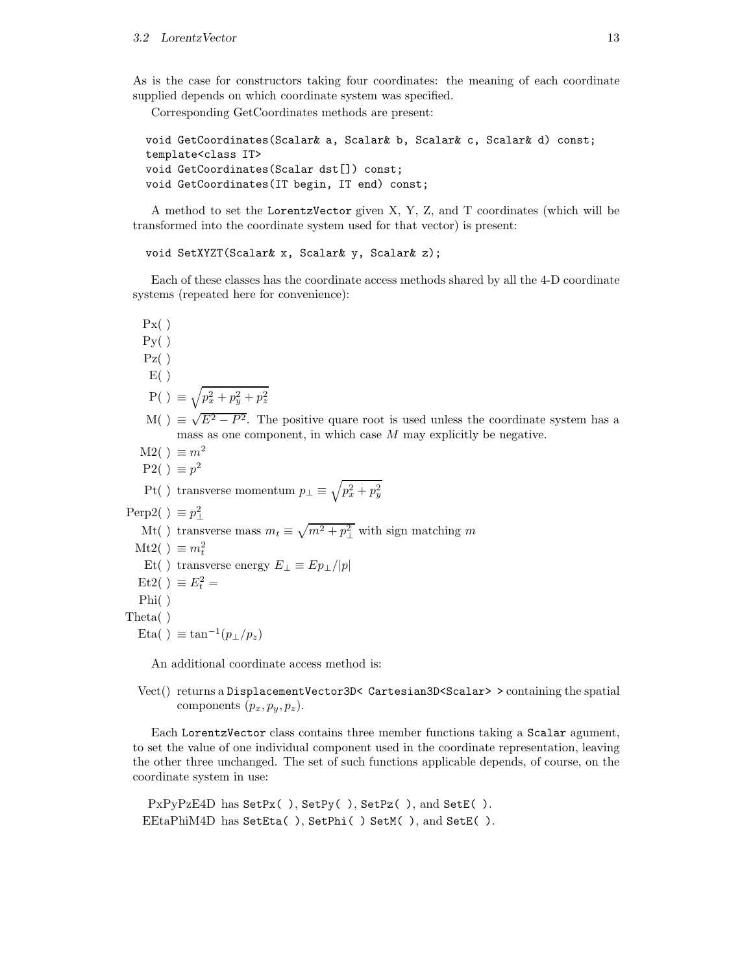#### 3.2 LorentzVector 13

As is the case for constructors taking four coordinates: the meaning of each coordinate supplied depends on which coordinate system was specified.

Corresponding GetCoordinates methods are present:

```
void GetCoordinates(Scalar& a, Scalar& b, Scalar& c, Scalar& d) const;
template<class IT>
void GetCoordinates(Scalar dst[]) const;
void GetCoordinates(IT begin, IT end) const;
```
A method to set the LorentzVector given X, Y, Z, and T coordinates (which will be transformed into the coordinate system used for that vector) is present:

```
void SetXYZT(Scalar& x, Scalar& y, Scalar& z);
```
Each of these classes has the coordinate access methods shared by all the 4-D coordinate systems (repeated here for convenience):

```
Px()Py( )Pz( )E( ){\rm P}(\ ) \ \equiv \sqrt{p_x^2 + p_y^2 + p_z^2}M( ) \equiv \sqrt{E^2 - P^2}. The positive quare root is used unless the coordinate system has a
            mass as one component, in which case M may explicitly be negative.
   M2() \equiv m^2P2() \equiv p^2Pt( ) transverse momentum p_{\perp} \equiv \sqrt{p_x^2 + p_y^2}Perp2( ) \equiv p_{\perp}^2Mt() transverse mass m_t \equiv \sqrt{m^2 + p_\perp^2} with sign matching m
  Mt2( ) \equiv m_t^2Et( ) transverse energy E_{\perp} \equiv E p_{\perp}/|p|Et2( ) \equiv E_t^2 =Phi( )
Theta( )
   Eta() \equiv \tan^{-1}(p_{\perp}/p_z)
```
An additional coordinate access method is:

Vect() returns a DisplacementVector3D< Cartesian3D<Scalar> > containing the spatial components  $(p_x, p_y, p_z)$ .

Each LorentzVector class contains three member functions taking a Scalar agument, to set the value of one individual component used in the coordinate representation, leaving the other three unchanged. The set of such functions applicable depends, of course, on the coordinate system in use:

```
PxPyPzE4D has SetPx(), SetPy(), SetPz(), and SetE().
EEtaPhiM4D has SetEta( ), SetPhi( ) SetM( ), and SetE( ).
```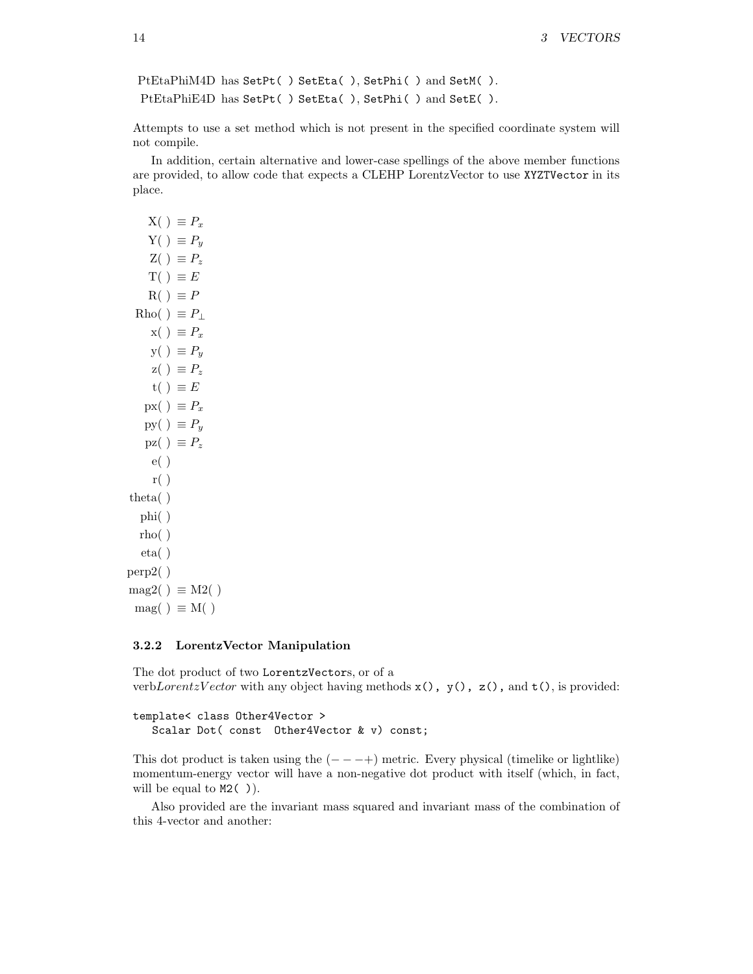```
PtEtaPhiM4D has SetPt( ) SetEta( ), SetPhi( ) and SetM( ).
PtEtaPhiE4D has SetPt( ) SetEta( ), SetPhi( ) and SetE( ).
```
Attempts to use a set method which is not present in the specified coordinate system will not compile.

In addition, certain alternative and lower-case spellings of the above member functions are provided, to allow code that expects a CLEHP LorentzVector to use XYZTVector in its place.

```
X( ) \equiv P_xY( ) \equiv P_yZ( ) \equiv P_zT() \equiv ER() \equiv PRho( ) \equiv P_{\perp}x() \equiv P_xy( ) \equiv P_yz() \equiv P_zt( ) \equiv Epx() \equiv P_xpy() \equiv P_ypz() \equiv P_ze( )
     r( )theta( )
   phi( )
  rho( )
   eta( )
perp2( )
mag2() \equiv M2()mag() \equiv M()
```
#### 3.2.2 LorentzVector Manipulation

The dot product of two LorentzVectors, or of a verbLorentzV ector with any object having methods  $x()$ ,  $y()$ ,  $z()$ , and  $t()$ , is provided:

```
template< class Other4Vector >
  Scalar Dot( const Other4Vector & v) const;
```
This dot product is taken using the  $(- - +)$  metric. Every physical (timelike or lightlike) momentum-energy vector will have a non-negative dot product with itself (which, in fact, will be equal to  $M2( )$ .

Also provided are the invariant mass squared and invariant mass of the combination of this 4-vector and another: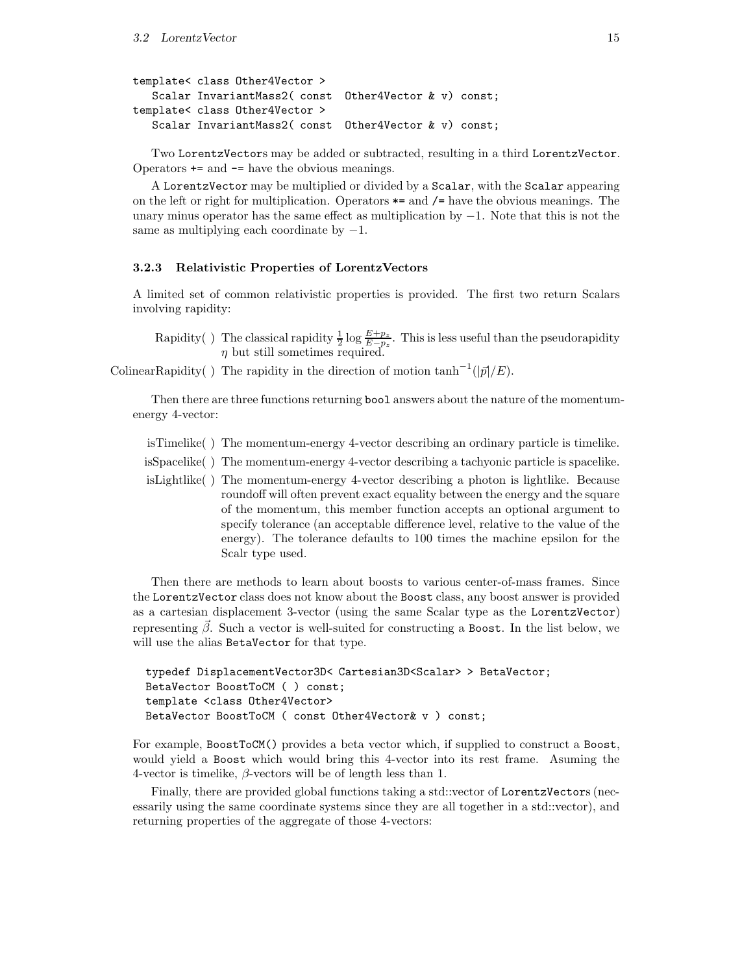```
template< class Other4Vector >
  Scalar InvariantMass2( const Other4Vector & v) const;
template< class Other4Vector >
  Scalar InvariantMass2( const Other4Vector & v) const;
```
Two LorentzVectors may be added or subtracted, resulting in a third LorentzVector. Operators += and -= have the obvious meanings.

A LorentzVector may be multiplied or divided by a Scalar, with the Scalar appearing on the left or right for multiplication. Operators  $*$ = and  $/$ = have the obvious meanings. The unary minus operator has the same effect as multiplication by  $-1$ . Note that this is not the same as multiplying each coordinate by  $-1$ .

#### 3.2.3 Relativistic Properties of LorentzVectors

A limited set of common relativistic properties is provided. The first two return Scalars involving rapidity:

Rapidity () The classical rapidity  $\frac{1}{2} \log \frac{E+p_z}{E-p_z}$ . This is less useful than the pseudorapidity  $\eta$  but still sometimes required.

ColinearRapidity() The rapidity in the direction of motion  $\tanh^{-1}(|\vec{p}|/E)$ .

Then there are three functions returning bool answers about the nature of the momentumenergy 4-vector:

isTimelike( ) The momentum-energy 4-vector describing an ordinary particle is timelike.

- isSpacelike( ) The momentum-energy 4-vector describing a tachyonic particle is spacelike.
- isLightlike( ) The momentum-energy 4-vector describing a photon is lightlike. Because roundoff will often prevent exact equality between the energy and the square of the momentum, this member function accepts an optional argument to specify tolerance (an acceptable difference level, relative to the value of the energy). The tolerance defaults to 100 times the machine epsilon for the Scalr type used.

Then there are methods to learn about boosts to various center-of-mass frames. Since the LorentzVector class does not know about the Boost class, any boost answer is provided as a cartesian displacement 3-vector (using the same Scalar type as the LorentzVector) representing  $\vec{\beta}$ . Such a vector is well-suited for constructing a Boost. In the list below, we will use the alias BetaVector for that type.

```
typedef DisplacementVector3D< Cartesian3D<Scalar> > BetaVector;
BetaVector BoostToCM ( ) const;
template <class Other4Vector>
BetaVector BoostToCM ( const Other4Vector& v ) const;
```
For example, BoostToCM() provides a beta vector which, if supplied to construct a Boost, would yield a Boost which would bring this 4-vector into its rest frame. Asuming the 4-vector is timelike,  $\beta$ -vectors will be of length less than 1.

Finally, there are provided global functions taking a std::vector of LorentzVectors (necessarily using the same coordinate systems since they are all together in a std::vector), and returning properties of the aggregate of those 4-vectors: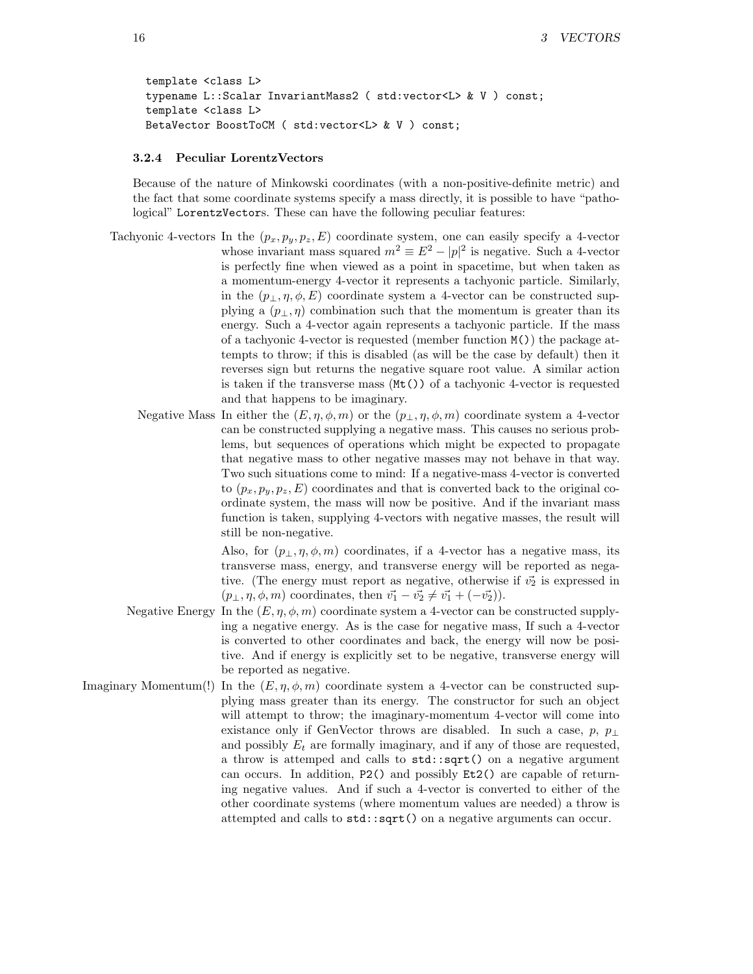```
template <class L>
typename L::Scalar InvariantMass2 ( std:vector<L> & V ) const;
template <class L>
BetaVector BoostToCM ( std:vector<L> & V ) const;
```
#### 3.2.4 Peculiar LorentzVectors

Because of the nature of Minkowski coordinates (with a non-positive-definite metric) and the fact that some coordinate systems specify a mass directly, it is possible to have "pathological" LorentzVectors. These can have the following peculiar features:

- Tachyonic 4-vectors In the  $(p_x, p_y, p_z, E)$  coordinate system, one can easily specify a 4-vector whose invariant mass squared  $m^2 \equiv E^2 - |p|^2$  is negative. Such a 4-vector is perfectly fine when viewed as a point in spacetime, but when taken as a momentum-energy 4-vector it represents a tachyonic particle. Similarly, in the  $(p_{\perp}, \eta, \phi, E)$  coordinate system a 4-vector can be constructed supplying a  $(p_{\perp}, \eta)$  combination such that the momentum is greater than its energy. Such a 4-vector again represents a tachyonic particle. If the mass of a tachyonic 4-vector is requested (member function  $M()$ ) the package attempts to throw; if this is disabled (as will be the case by default) then it reverses sign but returns the negative square root value. A similar action is taken if the transverse mass (Mt()) of a tachyonic 4-vector is requested and that happens to be imaginary.
	- Negative Mass In either the  $(E, \eta, \phi, m)$  or the  $(p_{\perp}, \eta, \phi, m)$  coordinate system a 4-vector can be constructed supplying a negative mass. This causes no serious problems, but sequences of operations which might be expected to propagate that negative mass to other negative masses may not behave in that way. Two such situations come to mind: If a negative-mass 4-vector is converted to  $(p_x, p_y, p_z, E)$  coordinates and that is converted back to the original coordinate system, the mass will now be positive. And if the invariant mass function is taken, supplying 4-vectors with negative masses, the result will still be non-negative.

Also, for  $(p_{\perp}, \eta, \phi, m)$  coordinates, if a 4-vector has a negative mass, its transverse mass, energy, and transverse energy will be reported as negative. (The energy must report as negative, otherwise if  $\vec{v_2}$  is expressed in  $(p_{\perp}, \eta, \phi, m)$  coordinates, then  $\vec{v_1} - \vec{v_2} \neq \vec{v_1} + (-\vec{v_2})$ .

- Negative Energy In the  $(E, \eta, \phi, m)$  coordinate system a 4-vector can be constructed supplying a negative energy. As is the case for negative mass, If such a 4-vector is converted to other coordinates and back, the energy will now be positive. And if energy is explicitly set to be negative, transverse energy will be reported as negative.
- Imaginary Momentum(!) In the  $(E, \eta, \phi, m)$  coordinate system a 4-vector can be constructed supplying mass greater than its energy. The constructor for such an object will attempt to throw; the imaginary-momentum 4-vector will come into existance only if GenVector throws are disabled. In such a case, p,  $p_{\perp}$ and possibly  $E_t$  are formally imaginary, and if any of those are requested, a throw is attemped and calls to std::sqrt() on a negative argument can occurs. In addition, P2() and possibly Et2() are capable of returning negative values. And if such a 4-vector is converted to either of the other coordinate systems (where momentum values are needed) a throw is attempted and calls to std::sqrt() on a negative arguments can occur.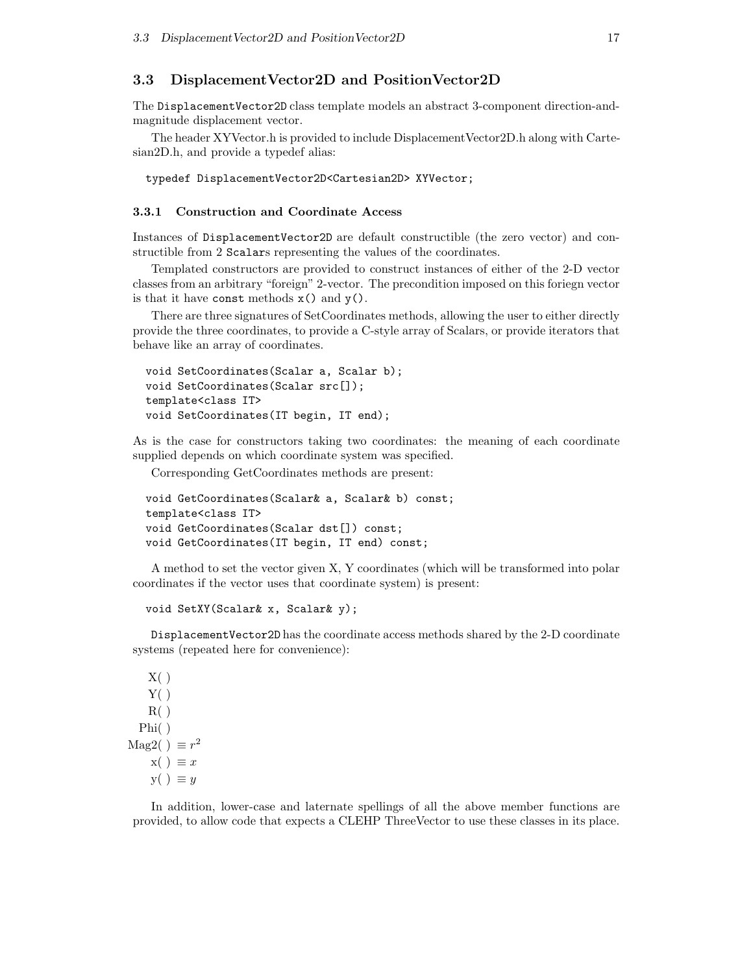### 3.3 DisplacementVector2D and PositionVector2D

The DisplacementVector2D class template models an abstract 3-component direction-andmagnitude displacement vector.

The header XYVector.h is provided to include DisplacementVector2D.h along with Cartesian2D.h, and provide a typedef alias:

typedef DisplacementVector2D<Cartesian2D> XYVector;

#### 3.3.1 Construction and Coordinate Access

Instances of DisplacementVector2D are default constructible (the zero vector) and constructible from 2 Scalars representing the values of the coordinates.

Templated constructors are provided to construct instances of either of the 2-D vector classes from an arbitrary "foreign" 2-vector. The precondition imposed on this foriegn vector is that it have const methods  $x()$  and  $y()$ .

There are three signatures of SetCoordinates methods, allowing the user to either directly provide the three coordinates, to provide a C-style array of Scalars, or provide iterators that behave like an array of coordinates.

```
void SetCoordinates(Scalar a, Scalar b);
void SetCoordinates(Scalar src[]);
template<class IT>
void SetCoordinates(IT begin, IT end);
```
As is the case for constructors taking two coordinates: the meaning of each coordinate supplied depends on which coordinate system was specified.

Corresponding GetCoordinates methods are present:

```
void GetCoordinates(Scalar& a, Scalar& b) const;
template<class IT>
void GetCoordinates(Scalar dst[]) const;
void GetCoordinates(IT begin, IT end) const;
```
A method to set the vector given X, Y coordinates (which will be transformed into polar coordinates if the vector uses that coordinate system) is present:

```
void SetXY(Scalar& x, Scalar& y);
```
DisplacementVector2D has the coordinate access methods shared by the 2-D coordinate systems (repeated here for convenience):

```
X( )Y()
    R( )Phi( )
Mag2( ) \equiv r^2x() \equiv xy( ) \equiv y
```
In addition, lower-case and laternate spellings of all the above member functions are provided, to allow code that expects a CLEHP ThreeVector to use these classes in its place.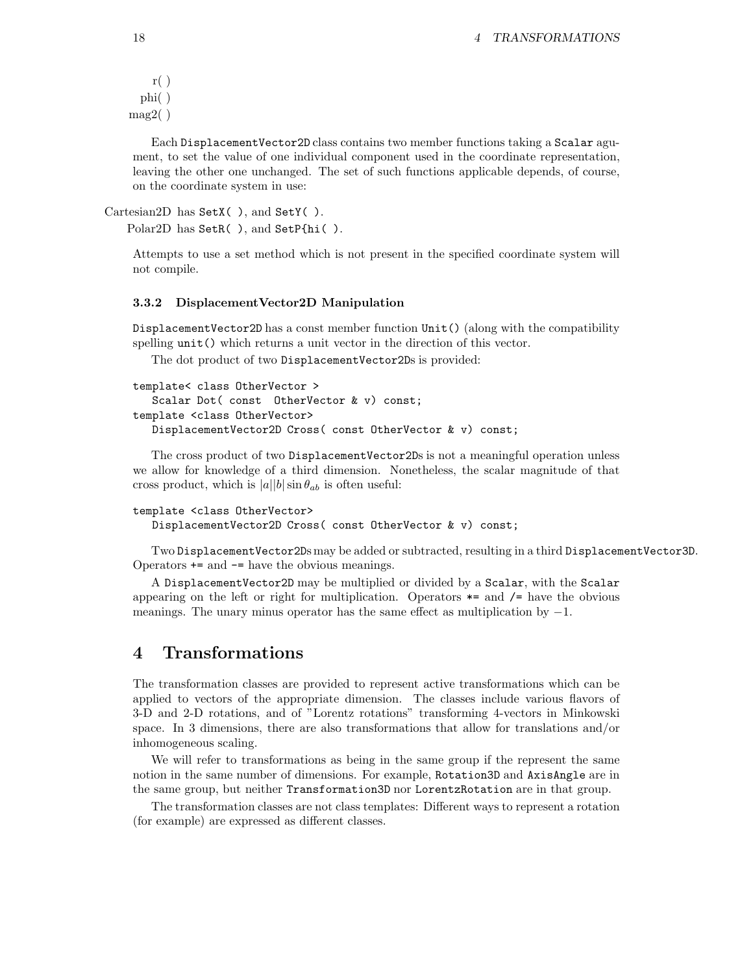```
r( )phi( )
mag2()
```
Each DisplacementVector2D class contains two member functions taking a Scalar agument, to set the value of one individual component used in the coordinate representation, leaving the other one unchanged. The set of such functions applicable depends, of course, on the coordinate system in use:

```
Cartesian2D has SetX( ), and SetY( ).
```

```
Polar2D has SetR( ), and SetP{hi( ).
```
Attempts to use a set method which is not present in the specified coordinate system will not compile.

#### 3.3.2 DisplacementVector2D Manipulation

DisplacementVector2D has a const member function Unit() (along with the compatibility spelling unit() which returns a unit vector in the direction of this vector.

The dot product of two DisplacementVector2Ds is provided:

```
template< class OtherVector >
   Scalar Dot( const OtherVector & v) const;
template <class OtherVector>
  DisplacementVector2D Cross( const OtherVector & v) const;
```
The cross product of two DisplacementVector2Ds is not a meaningful operation unless we allow for knowledge of a third dimension. Nonetheless, the scalar magnitude of that cross product, which is  $|a||b| \sin \theta_{ab}$  is often useful:

```
template <class OtherVector>
   DisplacementVector2D Cross( const OtherVector & v) const;
```
Two DisplacementVector2Ds may be added or subtracted, resulting in a third DisplacementVector3D. Operators += and -= have the obvious meanings.

A DisplacementVector2D may be multiplied or divided by a Scalar, with the Scalar appearing on the left or right for multiplication. Operators  $*$ = and  $/$ = have the obvious meanings. The unary minus operator has the same effect as multiplication by  $-1$ .

## 4 Transformations

The transformation classes are provided to represent active transformations which can be applied to vectors of the appropriate dimension. The classes include various flavors of 3-D and 2-D rotations, and of "Lorentz rotations" transforming 4-vectors in Minkowski space. In 3 dimensions, there are also transformations that allow for translations and/or inhomogeneous scaling.

We will refer to transformations as being in the same group if the represent the same notion in the same number of dimensions. For example, Rotation3D and AxisAngle are in the same group, but neither Transformation3D nor LorentzRotation are in that group.

The transformation classes are not class templates: Different ways to represent a rotation (for example) are expressed as different classes.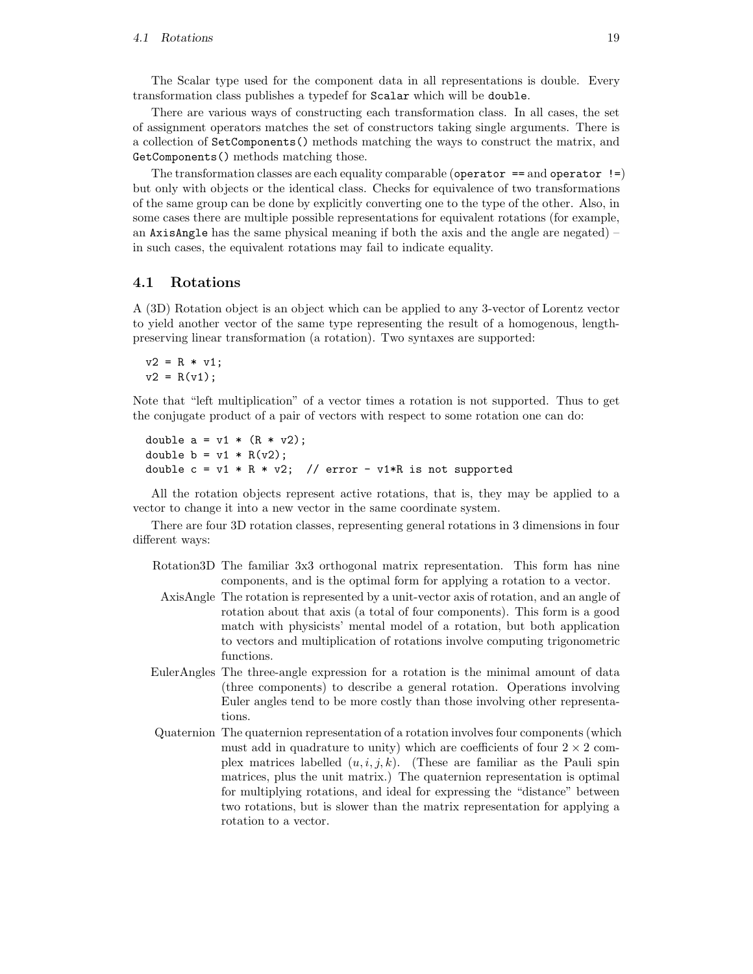The Scalar type used for the component data in all representations is double. Every transformation class publishes a typedef for Scalar which will be double.

There are various ways of constructing each transformation class. In all cases, the set of assignment operators matches the set of constructors taking single arguments. There is a collection of SetComponents() methods matching the ways to construct the matrix, and GetComponents() methods matching those.

The transformation classes are each equality comparable (operator  $==$  and operator  $!=$ ) but only with objects or the identical class. Checks for equivalence of two transformations of the same group can be done by explicitly converting one to the type of the other. Also, in some cases there are multiple possible representations for equivalent rotations (for example, an AxisAngle has the same physical meaning if both the axis and the angle are negated) – in such cases, the equivalent rotations may fail to indicate equality.

### 4.1 Rotations

A (3D) Rotation object is an object which can be applied to any 3-vector of Lorentz vector to yield another vector of the same type representing the result of a homogenous, lengthpreserving linear transformation (a rotation). Two syntaxes are supported:

 $v2 = R * v1;$  $v2 = R(v1);$ 

Note that "left multiplication" of a vector times a rotation is not supported. Thus to get the conjugate product of a pair of vectors with respect to some rotation one can do:

```
double a = v1 * (R * v2);double b = v1 * R(v2);
double c = v1 * R * v2; // error - v1 * R is not supported
```
All the rotation objects represent active rotations, that is, they may be applied to a vector to change it into a new vector in the same coordinate system.

There are four 3D rotation classes, representing general rotations in 3 dimensions in four different ways:

- Rotation3D The familiar 3x3 orthogonal matrix representation. This form has nine components, and is the optimal form for applying a rotation to a vector.
- AxisAngle The rotation is represented by a unit-vector axis of rotation, and an angle of rotation about that axis (a total of four components). This form is a good match with physicists' mental model of a rotation, but both application to vectors and multiplication of rotations involve computing trigonometric functions.
- EulerAngles The three-angle expression for a rotation is the minimal amount of data (three components) to describe a general rotation. Operations involving Euler angles tend to be more costly than those involving other representations.
- Quaternion The quaternion representation of a rotation involves four components (which must add in quadrature to unity) which are coefficients of four  $2 \times 2$  complex matrices labelled  $(u, i, j, k)$ . (These are familiar as the Pauli spin matrices, plus the unit matrix.) The quaternion representation is optimal for multiplying rotations, and ideal for expressing the "distance" between two rotations, but is slower than the matrix representation for applying a rotation to a vector.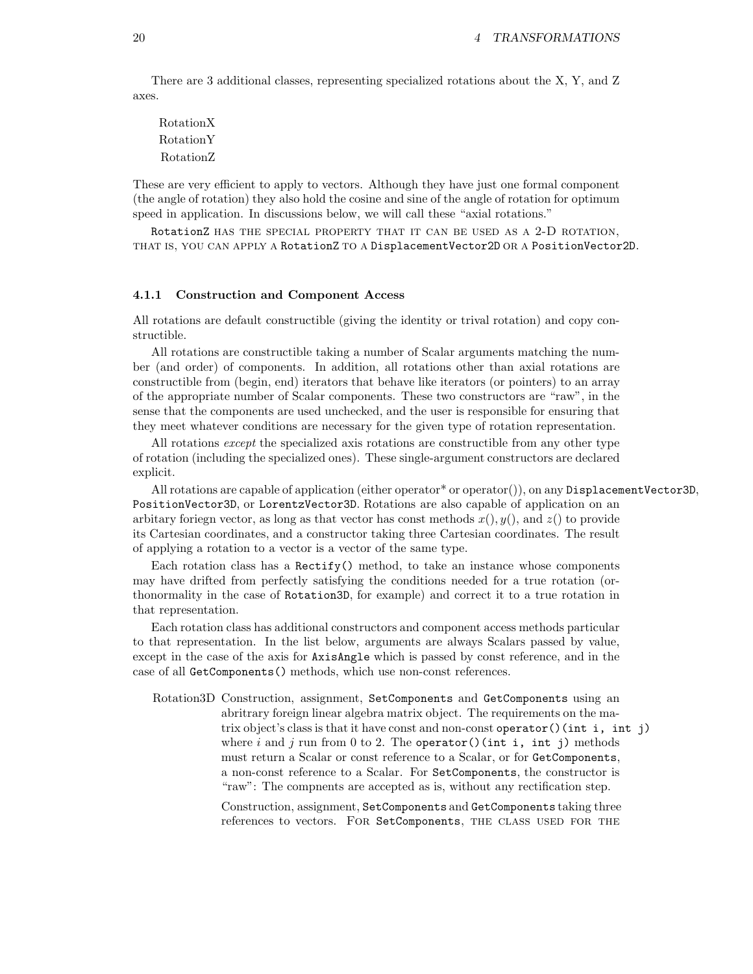There are 3 additional classes, representing specialized rotations about the X, Y, and Z axes.

RotationX RotationY RotationZ

These are very efficient to apply to vectors. Although they have just one formal component (the angle of rotation) they also hold the cosine and sine of the angle of rotation for optimum speed in application. In discussions below, we will call these "axial rotations."

RotationZ HAS THE SPECIAL PROPERTY THAT IT CAN BE USED AS A 2-D ROTATION, that is, you can apply a RotationZ to a DisplacementVector2D or a PositionVector2D.

#### 4.1.1 Construction and Component Access

All rotations are default constructible (giving the identity or trival rotation) and copy constructible.

All rotations are constructible taking a number of Scalar arguments matching the number (and order) of components. In addition, all rotations other than axial rotations are constructible from (begin, end) iterators that behave like iterators (or pointers) to an array of the appropriate number of Scalar components. These two constructors are "raw", in the sense that the components are used unchecked, and the user is responsible for ensuring that they meet whatever conditions are necessary for the given type of rotation representation.

All rotations except the specialized axis rotations are constructible from any other type of rotation (including the specialized ones). These single-argument constructors are declared explicit.

All rotations are capable of application (either operator\* or operator()), on any DisplacementVector3D, PositionVector3D, or LorentzVector3D. Rotations are also capable of application on an arbitary foriegn vector, as long as that vector has const methods  $x(), y(),$  and  $z()$  to provide its Cartesian coordinates, and a constructor taking three Cartesian coordinates. The result of applying a rotation to a vector is a vector of the same type.

Each rotation class has a  $Rectify()$  method, to take an instance whose components may have drifted from perfectly satisfying the conditions needed for a true rotation (orthonormality in the case of Rotation3D, for example) and correct it to a true rotation in that representation.

Each rotation class has additional constructors and component access methods particular to that representation. In the list below, arguments are always Scalars passed by value, except in the case of the axis for AxisAngle which is passed by const reference, and in the case of all GetComponents() methods, which use non-const references.

Rotation3D Construction, assignment, SetComponents and GetComponents using an abritrary foreign linear algebra matrix object. The requirements on the matrix object's class is that it have const and non-const operator()(int i, int j) where i and j run from 0 to 2. The operator()(int i, int j) methods must return a Scalar or const reference to a Scalar, or for GetComponents, a non-const reference to a Scalar. For SetComponents, the constructor is "raw": The compnents are accepted as is, without any rectification step.

> Construction, assignment, SetComponents and GetComponents taking three references to vectors. FOR SetComponents, THE CLASS USED FOR THE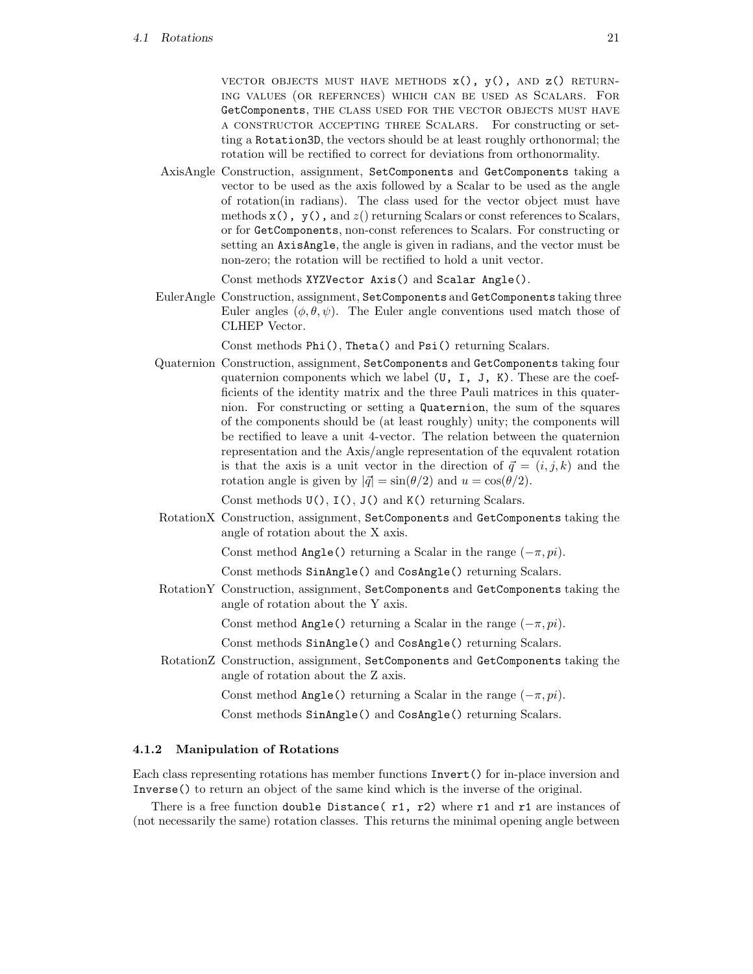VECTOR OBJECTS MUST HAVE METHODS  $x()$ ,  $y()$ , AND  $z()$  RETURNing values (or refernces) which can be used as Scalars. For GetComponents, THE CLASS USED FOR THE VECTOR OBJECTS MUST HAVE a constructor accepting three Scalars. For constructing or setting a Rotation3D, the vectors should be at least roughly orthonormal; the rotation will be rectified to correct for deviations from orthonormality.

AxisAngle Construction, assignment, SetComponents and GetComponents taking a vector to be used as the axis followed by a Scalar to be used as the angle of rotation(in radians). The class used for the vector object must have methods  $x()$ ,  $y()$ , and  $z()$  returning Scalars or const references to Scalars, or for GetComponents, non-const references to Scalars. For constructing or setting an AxisAngle, the angle is given in radians, and the vector must be non-zero; the rotation will be rectified to hold a unit vector.

Const methods XYZVector Axis() and Scalar Angle().

EulerAngle Construction, assignment, SetComponents and GetComponents taking three Euler angles  $(\phi, \theta, \psi)$ . The Euler angle conventions used match those of CLHEP Vector.

Const methods Phi(), Theta() and Psi() returning Scalars.

Quaternion Construction, assignment, SetComponents and GetComponents taking four quaternion components which we label (U, I, J, K). These are the coefficients of the identity matrix and the three Pauli matrices in this quaternion. For constructing or setting a Quaternion, the sum of the squares of the components should be (at least roughly) unity; the components will be rectified to leave a unit 4-vector. The relation between the quaternion representation and the Axis/angle representation of the equvalent rotation is that the axis is a unit vector in the direction of  $\vec{q} = (i, j, k)$  and the rotation angle is given by  $|\vec{q}| = \sin(\theta/2)$  and  $u = \cos(\theta/2)$ .

Const methods U(), I(), J() and K() returning Scalars.

RotationX Construction, assignment, SetComponents and GetComponents taking the angle of rotation about the X axis.

Const method Angle() returning a Scalar in the range  $(-\pi, pi)$ .

Const methods SinAngle() and CosAngle() returning Scalars.

RotationY Construction, assignment, SetComponents and GetComponents taking the angle of rotation about the Y axis.

Const method Angle() returning a Scalar in the range  $(-\pi, pi)$ .

Const methods SinAngle() and CosAngle() returning Scalars.

RotationZ Construction, assignment, SetComponents and GetComponents taking the angle of rotation about the Z axis.

Const method Angle() returning a Scalar in the range  $(-\pi, pi)$ .

Const methods SinAngle() and CosAngle() returning Scalars.

### 4.1.2 Manipulation of Rotations

Each class representing rotations has member functions Invert() for in-place inversion and Inverse() to return an object of the same kind which is the inverse of the original.

There is a free function double Distance ( $r1$ ,  $r2$ ) where  $r1$  and  $r1$  are instances of (not necessarily the same) rotation classes. This returns the minimal opening angle between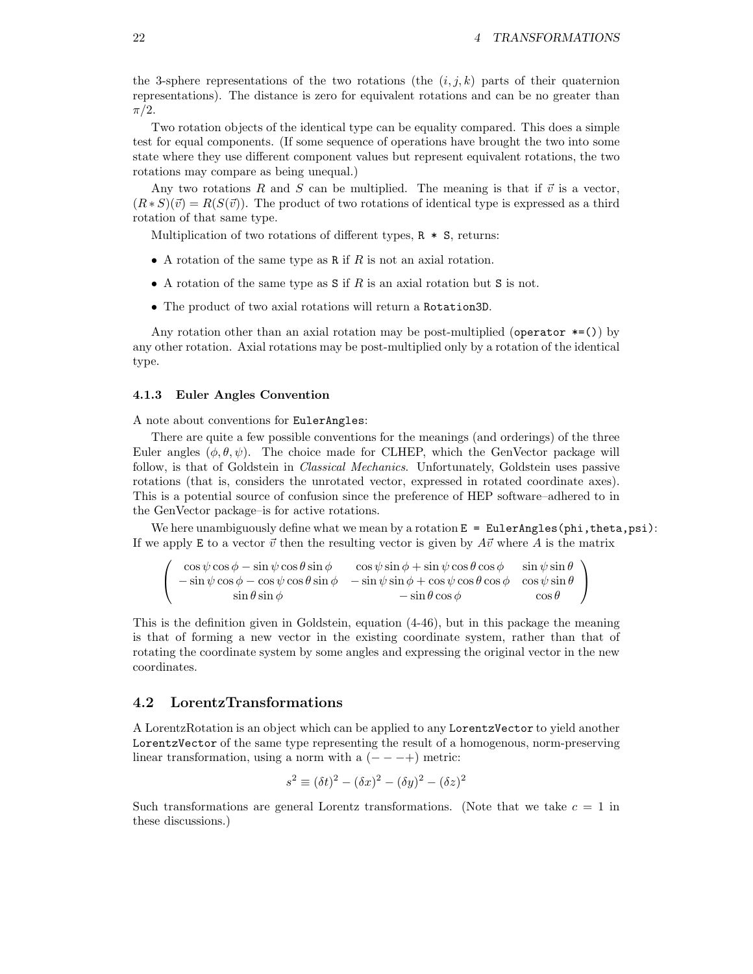the 3-sphere representations of the two rotations (the  $(i, j, k)$  parts of their quaternion representations). The distance is zero for equivalent rotations and can be no greater than  $\pi/2$ .

Two rotation objects of the identical type can be equality compared. This does a simple test for equal components. (If some sequence of operations have brought the two into some state where they use different component values but represent equivalent rotations, the two rotations may compare as being unequal.)

Any two rotations R and S can be multiplied. The meaning is that if  $\vec{v}$  is a vector,  $(R * S)(\vec{v}) = R(S(\vec{v}))$ . The product of two rotations of identical type is expressed as a third rotation of that same type.

Multiplication of two rotations of different types,  $R * S$ , returns:

- A rotation of the same type as R if  $R$  is not an axial rotation.
- A rotation of the same type as  $S$  if  $R$  is an axial rotation but  $S$  is not.
- The product of two axial rotations will return a Rotation3D.

Any rotation other than an axial rotation may be post-multiplied (operator  $*=()$ ) by any other rotation. Axial rotations may be post-multiplied only by a rotation of the identical type.

#### 4.1.3 Euler Angles Convention

A note about conventions for EulerAngles:

There are quite a few possible conventions for the meanings (and orderings) of the three Euler angles  $(\phi, \theta, \psi)$ . The choice made for CLHEP, which the GenVector package will follow, is that of Goldstein in *Classical Mechanics*. Unfortunately, Goldstein uses passive rotations (that is, considers the unrotated vector, expressed in rotated coordinate axes). This is a potential source of confusion since the preference of HEP software–adhered to in the GenVector package–is for active rotations.

We here unambiguously define what we mean by a rotation  $E =$  EulerAngles(phi, theta, psi): If we apply E to a vector  $\vec{v}$  then the resulting vector is given by  $A\vec{v}$  where A is the matrix

$$
\begin{pmatrix}\n\cos \psi \cos \phi - \sin \psi \cos \theta \sin \phi & \cos \psi \sin \phi + \sin \psi \cos \theta \cos \phi & \sin \psi \sin \theta \\
-\sin \psi \cos \phi - \cos \psi \cos \theta \sin \phi & -\sin \psi \sin \phi + \cos \psi \cos \theta \cos \phi & \cos \psi \sin \theta \\
\sin \theta \sin \phi & -\sin \theta \cos \phi & \cos \theta\n\end{pmatrix}
$$

This is the definition given in Goldstein, equation (4-46), but in this package the meaning is that of forming a new vector in the existing coordinate system, rather than that of rotating the coordinate system by some angles and expressing the original vector in the new coordinates.

### 4.2 LorentzTransformations

A LorentzRotation is an object which can be applied to any LorentzVector to yield another LorentzVector of the same type representing the result of a homogenous, norm-preserving linear transformation, using a norm with a  $(- - +)$  metric:

$$
s2 \equiv (\delta t)2 - (\delta x)2 - (\delta y)2 - (\delta z)2
$$

Such transformations are general Lorentz transformations. (Note that we take  $c = 1$  in these discussions.)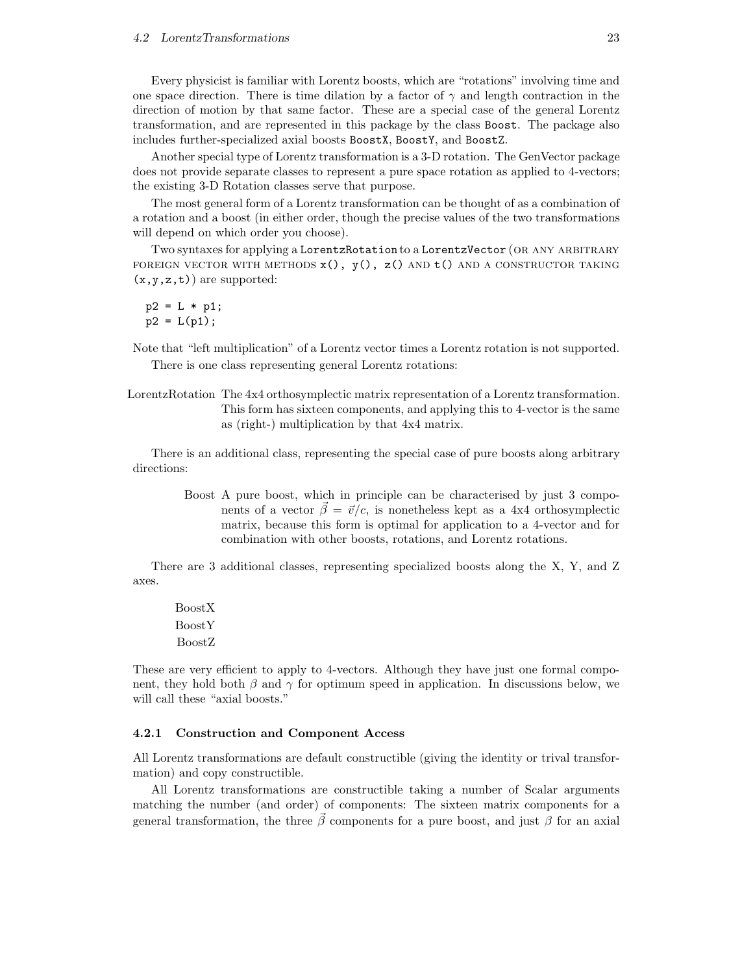Every physicist is familiar with Lorentz boosts, which are "rotations" involving time and one space direction. There is time dilation by a factor of  $\gamma$  and length contraction in the direction of motion by that same factor. These are a special case of the general Lorentz transformation, and are represented in this package by the class Boost. The package also includes further-specialized axial boosts BoostX, BoostY, and BoostZ.

Another special type of Lorentz transformation is a 3-D rotation. The GenVector package does not provide separate classes to represent a pure space rotation as applied to 4-vectors; the existing 3-D Rotation classes serve that purpose.

The most general form of a Lorentz transformation can be thought of as a combination of a rotation and a boost (in either order, though the precise values of the two transformations will depend on which order you choose).

Two syntaxes for applying a LorentzRotation to a LorentzVector (OR ANY ARBITRARY FOREIGN VECTOR WITH METHODS  $x()$ ,  $y()$ ,  $z()$  AND  $t()$  AND A CONSTRUCTOR TAKING  $(x,y,z,t)$  are supported:

```
p2 = L * p1;p2 = L(p1);
```
Note that "left multiplication" of a Lorentz vector times a Lorentz rotation is not supported. There is one class representing general Lorentz rotations:

LorentzRotation The 4x4 orthosymplectic matrix representation of a Lorentz transformation. This form has sixteen components, and applying this to 4-vector is the same as (right-) multiplication by that 4x4 matrix.

There is an additional class, representing the special case of pure boosts along arbitrary directions:

> Boost A pure boost, which in principle can be characterised by just 3 components of a vector  $\beta = \vec{v}/c$ , is nonetheless kept as a 4x4 orthosymplectic matrix, because this form is optimal for application to a 4-vector and for combination with other boosts, rotations, and Lorentz rotations.

There are 3 additional classes, representing specialized boosts along the X, Y, and Z axes.

BoostX BoostY BoostZ

These are very efficient to apply to 4-vectors. Although they have just one formal component, they hold both  $\beta$  and  $\gamma$  for optimum speed in application. In discussions below, we will call these "axial boosts."

#### 4.2.1 Construction and Component Access

All Lorentz transformations are default constructible (giving the identity or trival transformation) and copy constructible.

All Lorentz transformations are constructible taking a number of Scalar arguments matching the number (and order) of components: The sixteen matrix components for a general transformation, the three  $\beta$  components for a pure boost, and just  $\beta$  for an axial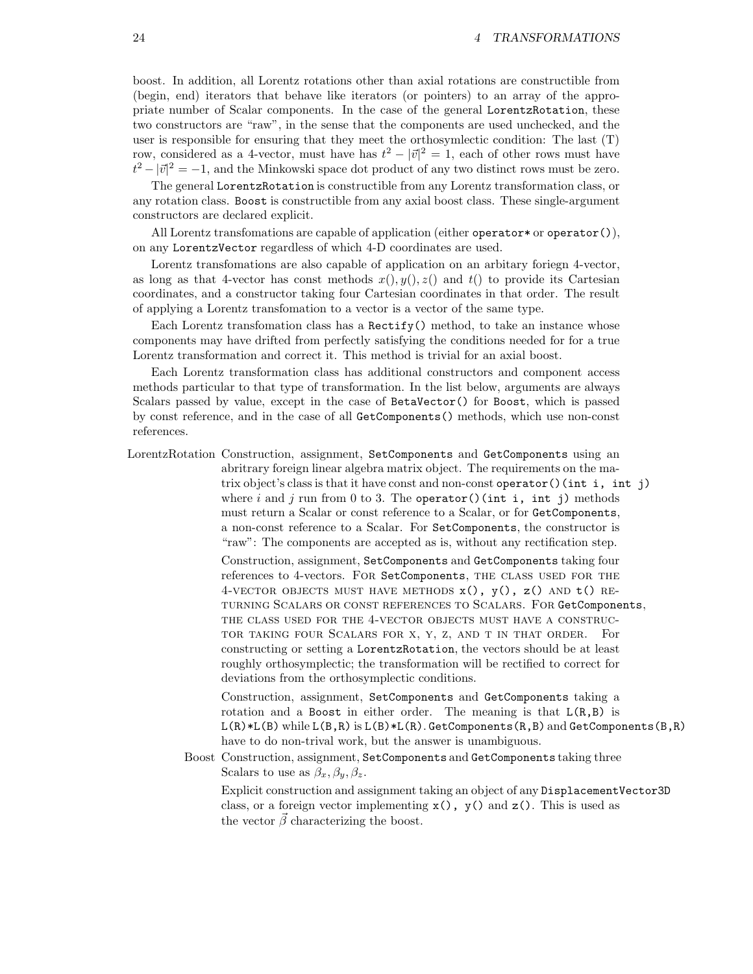boost. In addition, all Lorentz rotations other than axial rotations are constructible from (begin, end) iterators that behave like iterators (or pointers) to an array of the appropriate number of Scalar components. In the case of the general LorentzRotation, these two constructors are "raw", in the sense that the components are used unchecked, and the user is responsible for ensuring that they meet the orthosymlectic condition: The last (T) row, considered as a 4-vector, must have has  $t^2 - |\vec{v}|^2 = 1$ , each of other rows must have  $t^2 - |\vec{v}|^2 = -1$ , and the Minkowski space dot product of any two distinct rows must be zero.

The general LorentzRotation is constructible from any Lorentz transformation class, or any rotation class. Boost is constructible from any axial boost class. These single-argument constructors are declared explicit.

All Lorentz transfomations are capable of application (either operator  $\sigma$  operator()), on any LorentzVector regardless of which 4-D coordinates are used.

Lorentz transfomations are also capable of application on an arbitary foriegn 4-vector, as long as that 4-vector has const methods  $x(), y(), z()$  and  $t()$  to provide its Cartesian coordinates, and a constructor taking four Cartesian coordinates in that order. The result of applying a Lorentz transfomation to a vector is a vector of the same type.

Each Lorentz transfomation class has a  $Rectify()$  method, to take an instance whose components may have drifted from perfectly satisfying the conditions needed for for a true Lorentz transformation and correct it. This method is trivial for an axial boost.

Each Lorentz transformation class has additional constructors and component access methods particular to that type of transformation. In the list below, arguments are always Scalars passed by value, except in the case of BetaVector() for Boost, which is passed by const reference, and in the case of all GetComponents() methods, which use non-const references.

LorentzRotation Construction, assignment, SetComponents and GetComponents using an abritrary foreign linear algebra matrix object. The requirements on the matrix object's class is that it have const and non-const operator()(int i, int j) where i and j run from 0 to 3. The operator()(int i, int j) methods must return a Scalar or const reference to a Scalar, or for GetComponents, a non-const reference to a Scalar. For SetComponents, the constructor is "raw": The components are accepted as is, without any rectification step.

> Construction, assignment, SetComponents and GetComponents taking four references to 4-vectors. FOR SetComponents, THE CLASS USED FOR THE 4-VECTOR OBJECTS MUST HAVE METHODS  $x()$ ,  $y()$ ,  $z()$  AND  $t()$  REturning Scalars or const references to Scalars. For GetComponents, the class used for the 4-vector objects must have a constructor taking four Scalars for x, y, z, and t in that order. For constructing or setting a LorentzRotation, the vectors should be at least roughly orthosymplectic; the transformation will be rectified to correct for deviations from the orthosymplectic conditions.

Construction, assignment, SetComponents and GetComponents taking a rotation and a Boost in either order. The meaning is that  $L(R,B)$  is  $L(R)*L(B)$  while  $L(B,R)$  is  $L(B)*L(R)$ . GetComponents(R,B) and GetComponents(B,R) have to do non-trival work, but the answer is unambiguous.

Boost Construction, assignment, SetComponents and GetComponents taking three Scalars to use as  $\beta_x, \beta_y, \beta_z$ .

Explicit construction and assignment taking an object of any DisplacementVector3D class, or a foreign vector implementing  $x()$ ,  $y()$  and  $z()$ . This is used as the vector  $\vec{\beta}$  characterizing the boost.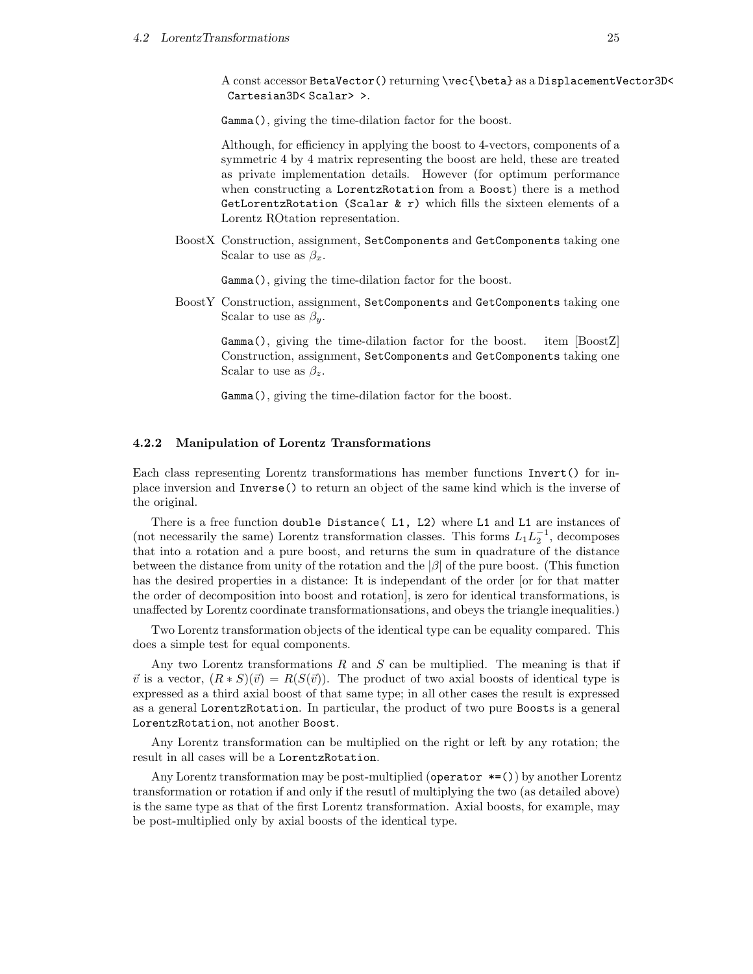A const accessor BetaVector() returning \vec{\beta} as a DisplacementVector3D< Cartesian3D< Scalar> >.

Gamma(), giving the time-dilation factor for the boost.

Although, for efficiency in applying the boost to 4-vectors, components of a symmetric 4 by 4 matrix representing the boost are held, these are treated as private implementation details. However (for optimum performance when constructing a LorentzRotation from a Boost) there is a method GetLorentzRotation (Scalar  $k$  r) which fills the sixteen elements of a Lorentz ROtation representation.

BoostX Construction, assignment, SetComponents and GetComponents taking one Scalar to use as  $\beta_x$ .

Gamma(), giving the time-dilation factor for the boost.

BoostY Construction, assignment, SetComponents and GetComponents taking one Scalar to use as  $\beta_y$ .

Gamma(), giving the time-dilation factor for the boost. item [BoostZ] Construction, assignment, SetComponents and GetComponents taking one Scalar to use as  $\beta_z$ .

Gamma(), giving the time-dilation factor for the boost.

#### 4.2.2 Manipulation of Lorentz Transformations

Each class representing Lorentz transformations has member functions Invert() for inplace inversion and Inverse() to return an object of the same kind which is the inverse of the original.

There is a free function double Distance( L1, L2) where L1 and L1 are instances of (not necessarily the same) Lorentz transformation classes. This forms  $L_1 L_2^{-1}$ , decomposes that into a rotation and a pure boost, and returns the sum in quadrature of the distance between the distance from unity of the rotation and the  $|\beta|$  of the pure boost. (This function has the desired properties in a distance: It is independant of the order [or for that matter the order of decomposition into boost and rotation], is zero for identical transformations, is unaffected by Lorentz coordinate transformationsations, and obeys the triangle inequalities.)

Two Lorentz transformation objects of the identical type can be equality compared. This does a simple test for equal components.

Any two Lorentz transformations  $R$  and  $S$  can be multiplied. The meaning is that if  $\vec{v}$  is a vector,  $(R * S)(\vec{v}) = R(S(\vec{v}))$ . The product of two axial boosts of identical type is expressed as a third axial boost of that same type; in all other cases the result is expressed as a general LorentzRotation. In particular, the product of two pure Boosts is a general LorentzRotation, not another Boost.

Any Lorentz transformation can be multiplied on the right or left by any rotation; the result in all cases will be a LorentzRotation.

Any Lorentz transformation may be post-multiplied (operator  $*=($ )) by another Lorentz transformation or rotation if and only if the resutl of multiplying the two (as detailed above) is the same type as that of the first Lorentz transformation. Axial boosts, for example, may be post-multiplied only by axial boosts of the identical type.